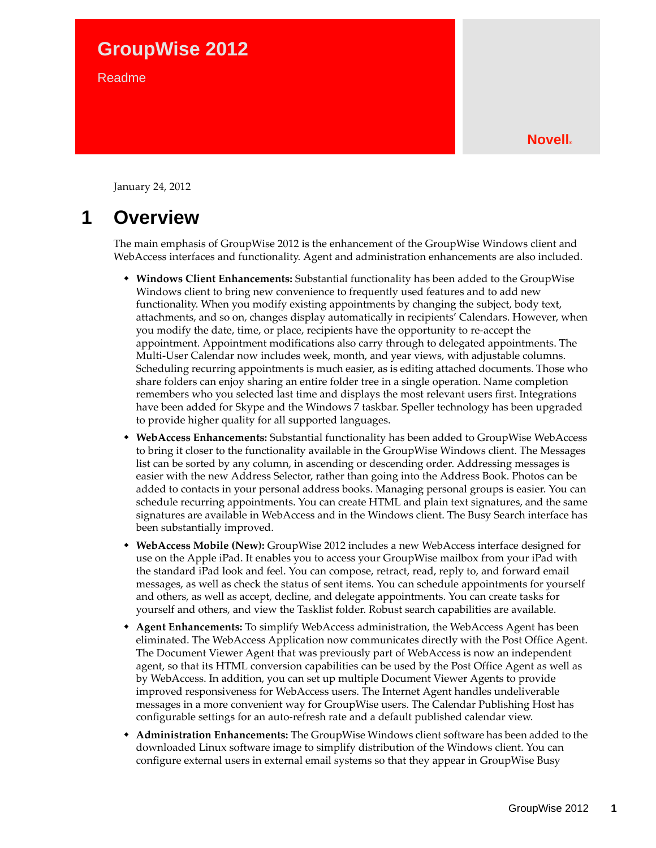# **GroupWise 2012**

Readme

January 24, 2012

# **1 Overview**

The main emphasis of GroupWise 2012 is the enhancement of the GroupWise Windows client and WebAccess interfaces and functionality. Agent and administration enhancements are also included.

- **Windows Client Enhancements:** Substantial functionality has been added to the GroupWise Windows client to bring new convenience to frequently used features and to add new functionality. When you modify existing appointments by changing the subject, body text, attachments, and so on, changes display automatically in recipients' Calendars. However, when you modify the date, time, or place, recipients have the opportunity to re-accept the appointment. Appointment modifications also carry through to delegated appointments. The Multi-User Calendar now includes week, month, and year views, with adjustable columns. Scheduling recurring appointments is much easier, as is editing attached documents. Those who share folders can enjoy sharing an entire folder tree in a single operation. Name completion remembers who you selected last time and displays the most relevant users first. Integrations have been added for Skype and the Windows 7 taskbar. Speller technology has been upgraded to provide higher quality for all supported languages.
- **WebAccess Enhancements:** Substantial functionality has been added to GroupWise WebAccess to bring it closer to the functionality available in the GroupWise Windows client. The Messages list can be sorted by any column, in ascending or descending order. Addressing messages is easier with the new Address Selector, rather than going into the Address Book. Photos can be added to contacts in your personal address books. Managing personal groups is easier. You can schedule recurring appointments. You can create HTML and plain text signatures, and the same signatures are available in WebAccess and in the Windows client. The Busy Search interface has been substantially improved.
- **WebAccess Mobile (New):** GroupWise 2012 includes a new WebAccess interface designed for use on the Apple iPad. It enables you to access your GroupWise mailbox from your iPad with the standard iPad look and feel. You can compose, retract, read, reply to, and forward email messages, as well as check the status of sent items. You can schedule appointments for yourself and others, as well as accept, decline, and delegate appointments. You can create tasks for yourself and others, and view the Tasklist folder. Robust search capabilities are available.
- **Agent Enhancements:** To simplify WebAccess administration, the WebAccess Agent has been eliminated. The WebAccess Application now communicates directly with the Post Office Agent. The Document Viewer Agent that was previously part of WebAccess is now an independent agent, so that its HTML conversion capabilities can be used by the Post Office Agent as well as by WebAccess. In addition, you can set up multiple Document Viewer Agents to provide improved responsiveness for WebAccess users. The Internet Agent handles undeliverable messages in a more convenient way for GroupWise users. The Calendar Publishing Host has configurable settings for an auto-refresh rate and a default published calendar view.
- **Administration Enhancements:** The GroupWise Windows client software has been added to the downloaded Linux software image to simplify distribution of the Windows client. You can configure external users in external email systems so that they appear in GroupWise Busy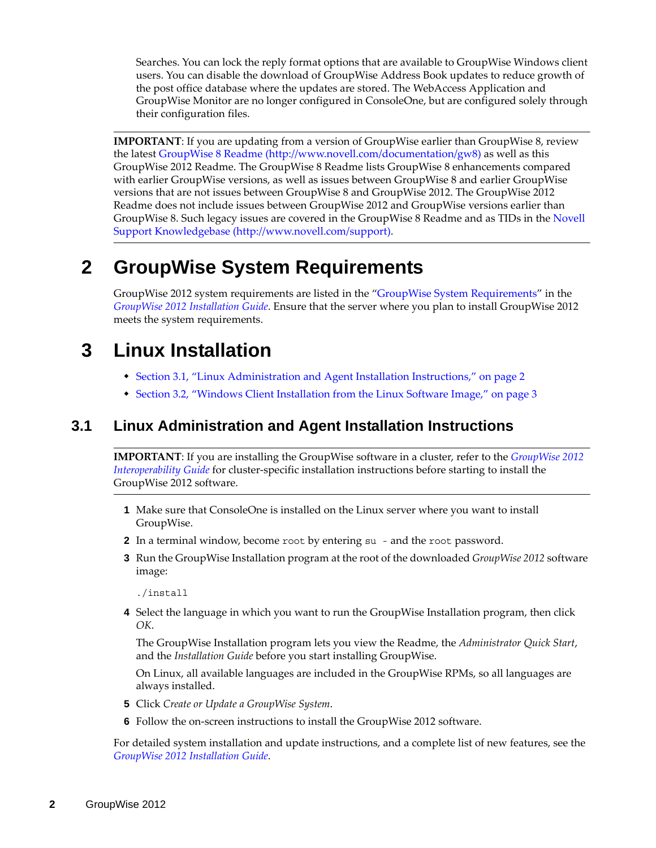Searches. You can lock the reply format options that are available to GroupWise Windows client users. You can disable the download of GroupWise Address Book updates to reduce growth of the post office database where the updates are stored. The WebAccess Application and GroupWise Monitor are no longer configured in ConsoleOne, but are configured solely through their configuration files.

**IMPORTANT**: If you are updating from a version of GroupWise earlier than GroupWise 8, review the latest [GroupWise 8 Readme](http://www.novell.com/documentation/gw8) (http://www.novell.com/documentation/gw8) as well as this GroupWise 2012 Readme. The GroupWise 8 Readme lists GroupWise 8 enhancements compared with earlier GroupWise versions, as well as issues between GroupWise 8 and earlier GroupWise versions that are not issues between GroupWise 8 and GroupWise 2012. The GroupWise 2012 Readme does not include issues between GroupWise 2012 and GroupWise versions earlier than GroupWise 8. Such legacy issues are covered in the GroupWise 8 Readme and as TIDs in the [Novell](http://www.novell.com/support)  [Support Knowledgebase](http://www.novell.com/support) (http://www.novell.com/support).

# **2 GroupWise System Requirements**

GroupWise 2012 system requirements are listed in the "GroupWise System Requirements" in the *GroupWise 2012 Installation Guide*. Ensure that the server where you plan to install GroupWise 2012 meets the system requirements.

# **3 Linux Installation**

- [Section 3.1, "Linux Administration and Agent Installation Instructions," on page 2](#page-1-0)
- [Section 3.2, "Windows Client Installation from the Linux Software Image," on page 3](#page-2-0)

# <span id="page-1-0"></span>**3.1 Linux Administration and Agent Installation Instructions**

**IMPORTANT**: If you are installing the GroupWise software in a cluster, refer to the *GroupWise 2012 Interoperability Guide* for cluster-specific installation instructions before starting to install the GroupWise 2012 software.

- **1** Make sure that ConsoleOne is installed on the Linux server where you want to install GroupWise.
- **2** In a terminal window, become root by entering su and the root password.
- **3** Run the GroupWise Installation program at the root of the downloaded *GroupWise 2012* software image:

./install

**4** Select the language in which you want to run the GroupWise Installation program, then click *OK*.

The GroupWise Installation program lets you view the Readme, the *Administrator Quick Start*, and the *Installation Guide* before you start installing GroupWise.

On Linux, all available languages are included in the GroupWise RPMs, so all languages are always installed.

- **5** Click *Create or Update a GroupWise System*.
- **6** Follow the on-screen instructions to install the GroupWise 2012 software.

For detailed system installation and update instructions, and a complete list of new features, see the *GroupWise 2012 Installation Guide*.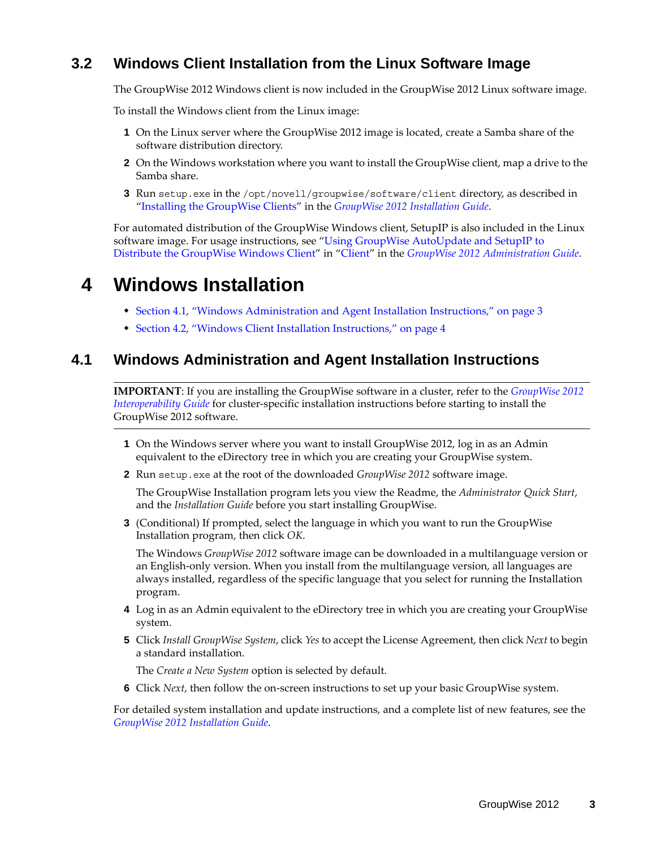# <span id="page-2-0"></span>**3.2 Windows Client Installation from the Linux Software Image**

The GroupWise 2012 Windows client is now included in the GroupWise 2012 Linux software image.

To install the Windows client from the Linux image:

- **1** On the Linux server where the GroupWise 2012 image is located, create a Samba share of the software distribution directory.
- **2** On the Windows workstation where you want to install the GroupWise client, map a drive to the Samba share.
- **3** Run setup.exe in the /opt/novell/groupwise/software/client directory, as described in "Installing the GroupWise Clients" in the *GroupWise 2012 Installation Guide*.

For automated distribution of the GroupWise Windows client, SetupIP is also included in the Linux software image. For usage instructions, see "Using GroupWise AutoUpdate and SetupIP to Distribute the GroupWise Windows Client" in "Client" in the *GroupWise 2012 Administration Guide*.

# **4 Windows Installation**

- [Section 4.1, "Windows Administration and Agent Installation Instructions," on page 3](#page-2-1)
- [Section 4.2, "Windows Client Installation Instructions," on page 4](#page-3-0)

# <span id="page-2-1"></span>**4.1 Windows Administration and Agent Installation Instructions**

**IMPORTANT**: If you are installing the GroupWise software in a cluster, refer to the *GroupWise 2012 Interoperability Guide* for cluster-specific installation instructions before starting to install the GroupWise 2012 software.

- **1** On the Windows server where you want to install GroupWise 2012, log in as an Admin equivalent to the eDirectory tree in which you are creating your GroupWise system.
- **2** Run setup.exe at the root of the downloaded *GroupWise* 2012 software image.

The GroupWise Installation program lets you view the Readme, the *Administrator Quick Start*, and the *Installation Guide* before you start installing GroupWise.

**3** (Conditional) If prompted, select the language in which you want to run the GroupWise Installation program, then click *OK*.

The Windows *GroupWise 2012* software image can be downloaded in a multilanguage version or an English-only version. When you install from the multilanguage version, all languages are always installed, regardless of the specific language that you select for running the Installation program.

- **4** Log in as an Admin equivalent to the eDirectory tree in which you are creating your GroupWise system.
- **5** Click *Install GroupWise System*, click *Yes* to accept the License Agreement, then click *Next* to begin a standard installation.

The *Create a New System* option is selected by default.

**6** Click *Next*, then follow the on-screen instructions to set up your basic GroupWise system.

For detailed system installation and update instructions, and a complete list of new features, see the *GroupWise 2012 Installation Guide*.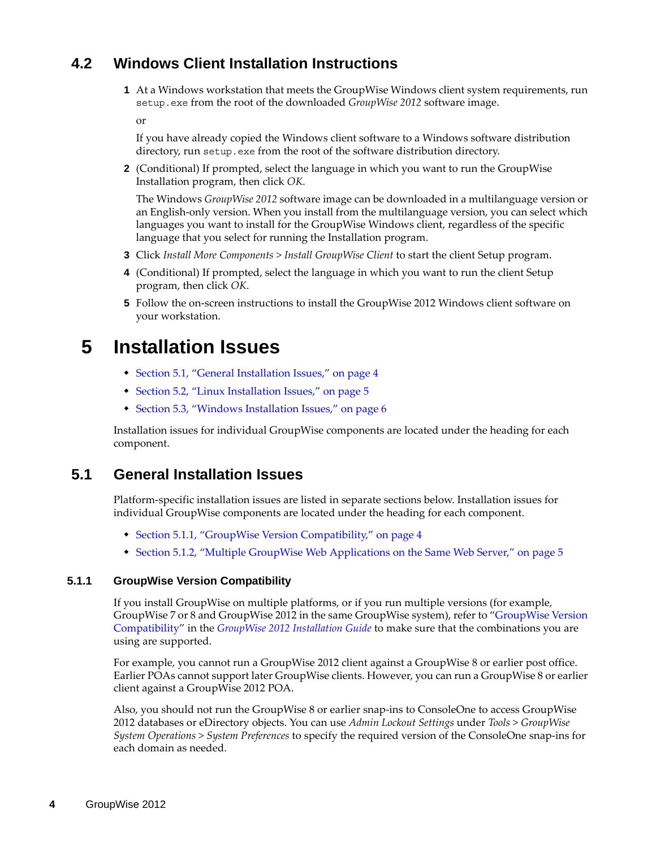# <span id="page-3-0"></span>**4.2 Windows Client Installation Instructions**

**1** At a Windows workstation that meets the GroupWise Windows client system requirements, run setup.exe from the root of the downloaded *GroupWise 2012* software image.

or

If you have already copied the Windows client software to a Windows software distribution directory, run setup.exe from the root of the software distribution directory.

**2** (Conditional) If prompted, select the language in which you want to run the GroupWise Installation program, then click *OK*.

The Windows *GroupWise 2012* software image can be downloaded in a multilanguage version or an English-only version. When you install from the multilanguage version, you can select which languages you want to install for the GroupWise Windows client, regardless of the specific language that you select for running the Installation program.

- **3** Click *Install More Components > Install GroupWise Client* to start the client Setup program.
- **4** (Conditional) If prompted, select the language in which you want to run the client Setup program, then click *OK*.
- **5** Follow the on-screen instructions to install the GroupWise 2012 Windows client software on your workstation.

# **5 Installation Issues**

- [Section 5.1, "General Installation Issues," on page 4](#page-3-1)
- [Section 5.2, "Linux Installation Issues," on page 5](#page-4-0)
- [Section 5.3, "Windows Installation Issues," on page 6](#page-5-0)

Installation issues for individual GroupWise components are located under the heading for each component.

# <span id="page-3-1"></span>**5.1 General Installation Issues**

Platform-specific installation issues are listed in separate sections below. Installation issues for individual GroupWise components are located under the heading for each component.

- [Section 5.1.1, "GroupWise Version Compatibility," on page 4](#page-3-2)
- \* [Section 5.1.2, "Multiple GroupWise Web Applications on the Same Web Server," on page 5](#page-4-1)

## <span id="page-3-2"></span>**5.1.1 GroupWise Version Compatibility**

If you install GroupWise on multiple platforms, or if you run multiple versions (for example, GroupWise 7 or 8 and GroupWise 2012 in the same GroupWise system), refer to "GroupWise Version Compatibility" in the *GroupWise 2012 Installation Guide* to make sure that the combinations you are using are supported.

For example, you cannot run a GroupWise 2012 client against a GroupWise 8 or earlier post office. Earlier POAs cannot support later GroupWise clients. However, you can run a GroupWise 8 or earlier client against a GroupWise 2012 POA.

Also, you should not run the GroupWise 8 or earlier snap-ins to ConsoleOne to access GroupWise 2012 databases or eDirectory objects. You can use *Admin Lockout Settings* under *Tools > GroupWise System Operations > System Preferences* to specify the required version of the ConsoleOne snap-ins for each domain as needed.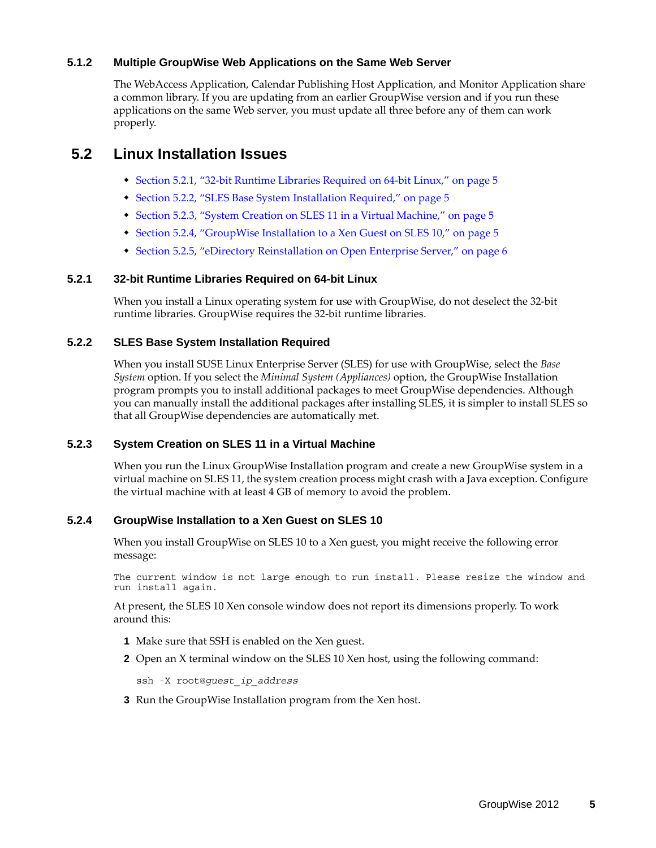## <span id="page-4-1"></span>**5.1.2 Multiple GroupWise Web Applications on the Same Web Server**

The WebAccess Application, Calendar Publishing Host Application, and Monitor Application share a common library. If you are updating from an earlier GroupWise version and if you run these applications on the same Web server, you must update all three before any of them can work properly.

# <span id="page-4-0"></span>**5.2 Linux Installation Issues**

- [Section 5.2.1, "32-bit Runtime Libraries Required on 64-bit Linux," on page 5](#page-4-2)
- [Section 5.2.2, "SLES Base System Installation Required," on page 5](#page-4-3)
- [Section 5.2.3, "System Creation on SLES 11 in a Virtual Machine," on page 5](#page-4-4)
- [Section 5.2.4, "GroupWise Installation to a Xen Guest on SLES 10," on page 5](#page-4-5)
- [Section 5.2.5, "eDirectory Reinstallation on Open Enterprise Server," on page 6](#page-5-1)

## <span id="page-4-2"></span>**5.2.1 32-bit Runtime Libraries Required on 64-bit Linux**

When you install a Linux operating system for use with GroupWise, do not deselect the 32-bit runtime libraries. GroupWise requires the 32-bit runtime libraries.

## <span id="page-4-3"></span>**5.2.2 SLES Base System Installation Required**

When you install SUSE Linux Enterprise Server (SLES) for use with GroupWise, select the *Base System* option. If you select the *Minimal System (Appliances)* option, the GroupWise Installation program prompts you to install additional packages to meet GroupWise dependencies. Although you can manually install the additional packages after installing SLES, it is simpler to install SLES so that all GroupWise dependencies are automatically met.

## <span id="page-4-4"></span>**5.2.3 System Creation on SLES 11 in a Virtual Machine**

When you run the Linux GroupWise Installation program and create a new GroupWise system in a virtual machine on SLES 11, the system creation process might crash with a Java exception. Configure the virtual machine with at least 4 GB of memory to avoid the problem.

## <span id="page-4-5"></span>**5.2.4 GroupWise Installation to a Xen Guest on SLES 10**

When you install GroupWise on SLES 10 to a Xen guest, you might receive the following error message:

The current window is not large enough to run install. Please resize the window and run install again.

At present, the SLES 10 Xen console window does not report its dimensions properly. To work around this:

- **1** Make sure that SSH is enabled on the Xen guest.
- **2** Open an X terminal window on the SLES 10 Xen host, using the following command:

ssh -X root@*guest\_ip\_address*

**3** Run the GroupWise Installation program from the Xen host.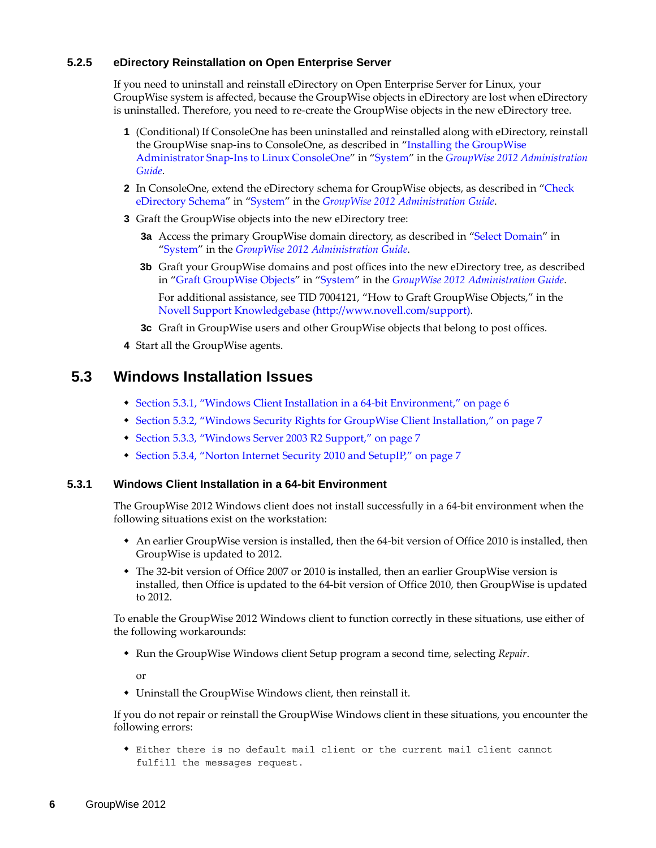## <span id="page-5-1"></span>**5.2.5 eDirectory Reinstallation on Open Enterprise Server**

If you need to uninstall and reinstall eDirectory on Open Enterprise Server for Linux, your GroupWise system is affected, because the GroupWise objects in eDirectory are lost when eDirectory is uninstalled. Therefore, you need to re-create the GroupWise objects in the new eDirectory tree.

- **1** (Conditional) If ConsoleOne has been uninstalled and reinstalled along with eDirectory, reinstall the GroupWise snap-ins to ConsoleOne, as described in "Installing the GroupWise Administrator Snap-Ins to Linux ConsoleOne" in "System" in the *GroupWise 2012 Administration Guide*.
- **2** In ConsoleOne, extend the eDirectory schema for GroupWise objects, as described in "Check eDirectory Schema" in "System" in the *GroupWise 2012 Administration Guide*.
- **3** Graft the GroupWise objects into the new eDirectory tree:
	- **3a** Access the primary GroupWise domain directory, as described in "Select Domain" in "System" in the *GroupWise 2012 Administration Guide*.
	- **3b** Graft your GroupWise domains and post offices into the new eDirectory tree, as described in "Graft GroupWise Objects" in "System" in the *GroupWise 2012 Administration Guide*.

For additional assistance, see TID 7004121, "How to Graft GroupWise Objects," in the [Novell Support Knowledgebase](http://www.novell.com/support) (http://www.novell.com/support).

- **3c** Graft in GroupWise users and other GroupWise objects that belong to post offices.
- **4** Start all the GroupWise agents.

# <span id="page-5-0"></span>**5.3 Windows Installation Issues**

- [Section 5.3.1, "Windows Client Installation in a 64-bit Environment," on page 6](#page-5-2)
- [Section 5.3.2, "Windows Security Rights for GroupWise Client Installation," on page 7](#page-6-2)
- [Section 5.3.3, "Windows Server 2003 R2 Support," on page 7](#page-6-0)
- [Section 5.3.4, "Norton Internet Security 2010 and SetupIP," on page 7](#page-6-1)

## <span id="page-5-2"></span>**5.3.1 Windows Client Installation in a 64-bit Environment**

The GroupWise 2012 Windows client does not install successfully in a 64-bit environment when the following situations exist on the workstation:

- An earlier GroupWise version is installed, then the 64-bit version of Office 2010 is installed, then GroupWise is updated to 2012.
- The 32-bit version of Office 2007 or 2010 is installed, then an earlier GroupWise version is installed, then Office is updated to the 64-bit version of Office 2010, then GroupWise is updated to 2012.

To enable the GroupWise 2012 Windows client to function correctly in these situations, use either of the following workarounds:

Run the GroupWise Windows client Setup program a second time, selecting *Repair*.

or

Uninstall the GroupWise Windows client, then reinstall it.

If you do not repair or reinstall the GroupWise Windows client in these situations, you encounter the following errors:

 Either there is no default mail client or the current mail client cannot fulfill the messages request.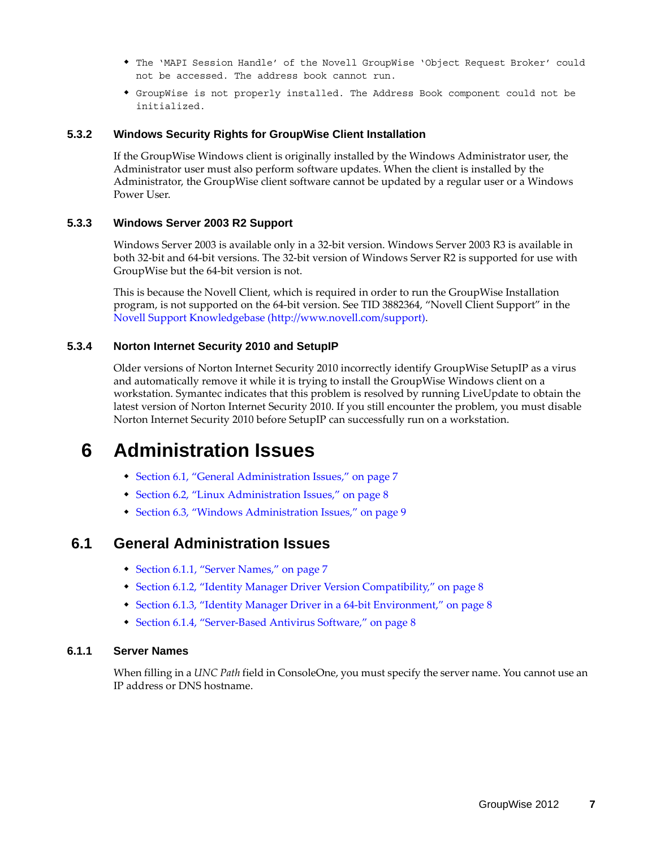- The 'MAPI Session Handle' of the Novell GroupWise 'Object Request Broker' could not be accessed. The address book cannot run.
- GroupWise is not properly installed. The Address Book component could not be initialized.

### <span id="page-6-2"></span>**5.3.2 Windows Security Rights for GroupWise Client Installation**

If the GroupWise Windows client is originally installed by the Windows Administrator user, the Administrator user must also perform software updates. When the client is installed by the Administrator, the GroupWise client software cannot be updated by a regular user or a Windows Power User.

## <span id="page-6-0"></span>**5.3.3 Windows Server 2003 R2 Support**

Windows Server 2003 is available only in a 32-bit version. Windows Server 2003 R3 is available in both 32-bit and 64-bit versions. The 32-bit version of Windows Server R2 is supported for use with GroupWise but the 64-bit version is not.

This is because the Novell Client, which is required in order to run the GroupWise Installation program, is not supported on the 64-bit version. See TID 3882364, "Novell Client Support" in the [Novell Support Knowledgebase](http://www.novell.com/support) (http://www.novell.com/support).

## <span id="page-6-1"></span>**5.3.4 Norton Internet Security 2010 and SetupIP**

Older versions of Norton Internet Security 2010 incorrectly identify GroupWise SetupIP as a virus and automatically remove it while it is trying to install the GroupWise Windows client on a workstation. Symantec indicates that this problem is resolved by running LiveUpdate to obtain the latest version of Norton Internet Security 2010. If you still encounter the problem, you must disable Norton Internet Security 2010 before SetupIP can successfully run on a workstation.

# **6 Administration Issues**

- [Section 6.1, "General Administration Issues," on page 7](#page-6-3)
- [Section 6.2, "Linux Administration Issues," on page 8](#page-7-0)
- [Section 6.3, "Windows Administration Issues," on page 9](#page-8-0)

# <span id="page-6-3"></span>**6.1 General Administration Issues**

- [Section 6.1.1, "Server Names," on page 7](#page-6-4)
- [Section 6.1.2, "Identity Manager Driver Version Compatibility," on page 8](#page-7-1)
- [Section 6.1.3, "Identity Manager Driver in a 64-bit Environment," on page 8](#page-7-2)
- [Section 6.1.4, "Server-Based Antivirus Software," on page 8](#page-7-3)

### <span id="page-6-4"></span>**6.1.1 Server Names**

When filling in a *UNC Path* field in ConsoleOne, you must specify the server name. You cannot use an IP address or DNS hostname.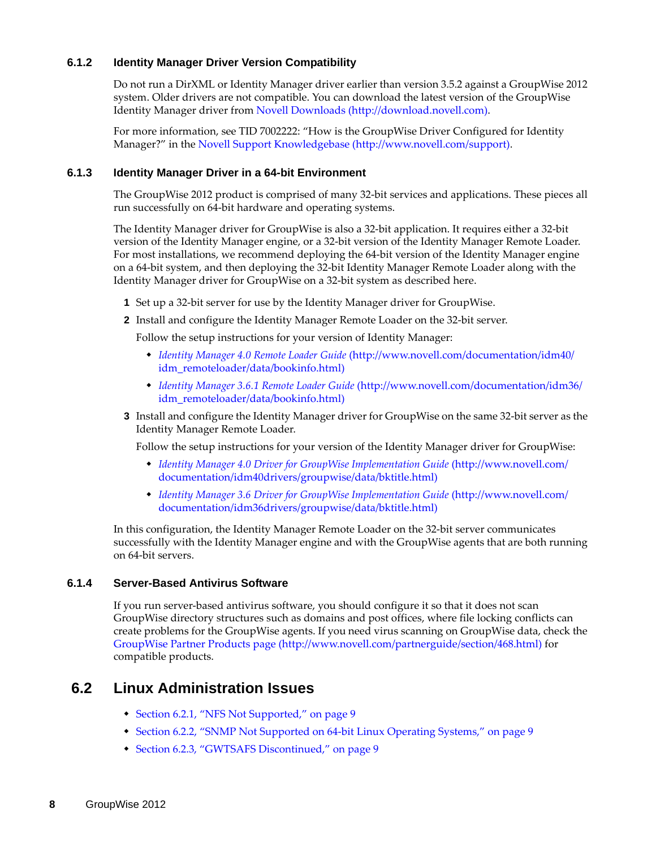## <span id="page-7-1"></span>**6.1.2 Identity Manager Driver Version Compatibility**

Do not run a DirXML or Identity Manager driver earlier than version 3.5.2 against a GroupWise 2012 system. Older drivers are not compatible. You can download the latest version of the GroupWise Identity Manager driver from [Novell Downloads](http://download.novell.com) (http://download.novell.com).

For more information, see TID 7002222: "How is the GroupWise Driver Configured for Identity Manager?" in the [Novell Support Knowledgebase](http://www.novell.com/support) (http://www.novell.com/support).

### <span id="page-7-2"></span>**6.1.3 Identity Manager Driver in a 64-bit Environment**

The GroupWise 2012 product is comprised of many 32-bit services and applications. These pieces all run successfully on 64-bit hardware and operating systems.

The Identity Manager driver for GroupWise is also a 32-bit application. It requires either a 32-bit version of the Identity Manager engine, or a 32-bit version of the Identity Manager Remote Loader. For most installations, we recommend deploying the 64-bit version of the Identity Manager engine on a 64-bit system, and then deploying the 32-bit Identity Manager Remote Loader along with the Identity Manager driver for GroupWise on a 32-bit system as described here.

- **1** Set up a 32-bit server for use by the Identity Manager driver for GroupWise.
- **2** Install and configure the Identity Manager Remote Loader on the 32-bit server.

Follow the setup instructions for your version of Identity Manager:

- *[Identity Manager 4.0 Remote Loader Guide](http://www.novell.com/documentation/idm40/idm_remoteloader/data/bookinfo.html)* (http://www.novell.com/documentation/idm40/ idm\_remoteloader/data/bookinfo.html)
- *[Identity Manager 3.6.1 Remote Loader Guide](http://www.novell.com/documentation/idm36/idm_remoteloader/data/bookinfo.html)* (http://www.novell.com/documentation/idm36/ idm\_remoteloader/data/bookinfo.html)

### **3** Install and configure the Identity Manager driver for GroupWise on the same 32-bit server as the Identity Manager Remote Loader.

Follow the setup instructions for your version of the Identity Manager driver for GroupWise:

- *[Identity Manager 4.0 Driver for GroupWise Implementation Guide](http://www.novell.com/documentation/idm40drivers/groupwise/data/bktitle.html)* (http://www.novell.com/ documentation/idm40drivers/groupwise/data/bktitle.html)
- *[Identity Manager 3.6 Driver for GroupWise Implementation Guide](http://www.novell.com/documentation/idm36drivers/groupwise/data/bktitle.html)* (http://www.novell.com/ documentation/idm36drivers/groupwise/data/bktitle.html)

In this configuration, the Identity Manager Remote Loader on the 32-bit server communicates successfully with the Identity Manager engine and with the GroupWise agents that are both running on 64-bit servers.

## <span id="page-7-3"></span>**6.1.4 Server-Based Antivirus Software**

If you run server-based antivirus software, you should configure it so that it does not scan GroupWise directory structures such as domains and post offices, where file locking conflicts can create problems for the GroupWise agents. If you need virus scanning on GroupWise data, check the [GroupWise Partner Products page](http://www.novell.com/partnerguide/section/468.html) (http://www.novell.com/partnerguide/section/468.html) for compatible products.

# <span id="page-7-0"></span>**6.2 Linux Administration Issues**

- [Section 6.2.1, "NFS Not Supported," on page 9](#page-8-1)
- [Section 6.2.2, "SNMP Not Supported on 64-bit Linux Operating Systems," on page 9](#page-8-2)
- [Section 6.2.3, "GWTSAFS Discontinued," on page 9](#page-8-3)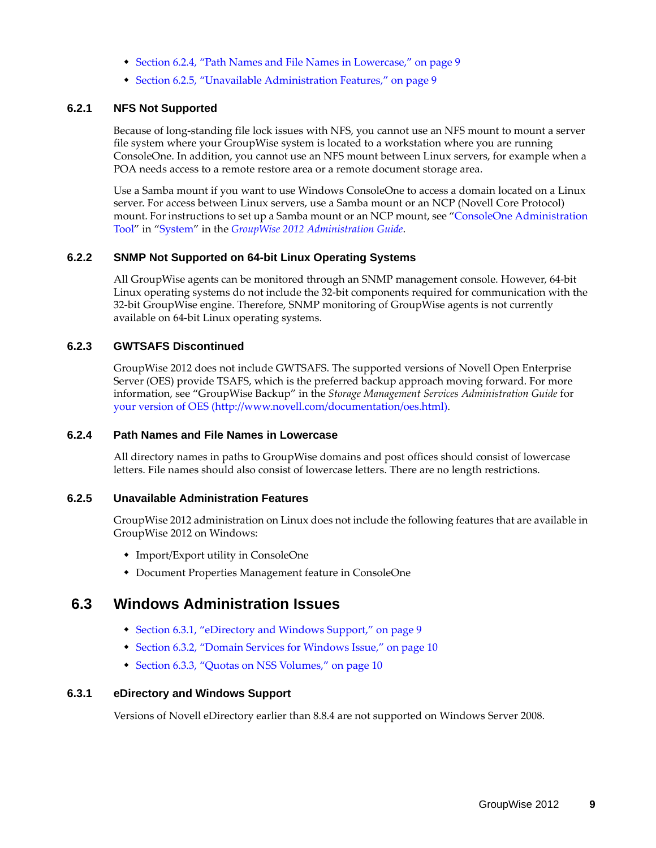- [Section 6.2.4, "Path Names and File Names in Lowercase," on page 9](#page-8-4)
- [Section 6.2.5, "Unavailable Administration Features," on page 9](#page-8-5)

### <span id="page-8-1"></span>**6.2.1 NFS Not Supported**

Because of long-standing file lock issues with NFS, you cannot use an NFS mount to mount a server file system where your GroupWise system is located to a workstation where you are running ConsoleOne. In addition, you cannot use an NFS mount between Linux servers, for example when a POA needs access to a remote restore area or a remote document storage area.

Use a Samba mount if you want to use Windows ConsoleOne to access a domain located on a Linux server. For access between Linux servers, use a Samba mount or an NCP (Novell Core Protocol) mount. For instructions to set up a Samba mount or an NCP mount, see "ConsoleOne Administration Tool" in "System" in the *GroupWise 2012 Administration Guide*.

### <span id="page-8-2"></span>**6.2.2 SNMP Not Supported on 64-bit Linux Operating Systems**

All GroupWise agents can be monitored through an SNMP management console. However, 64-bit Linux operating systems do not include the 32-bit components required for communication with the 32-bit GroupWise engine. Therefore, SNMP monitoring of GroupWise agents is not currently available on 64-bit Linux operating systems.

### <span id="page-8-3"></span>**6.2.3 GWTSAFS Discontinued**

GroupWise 2012 does not include GWTSAFS. The supported versions of Novell Open Enterprise Server (OES) provide TSAFS, which is the preferred backup approach moving forward. For more information, see "GroupWise Backup" in the *Storage Management Services Administration Guide* for [your version of OES](http://www.novell.com/documentation/oes.html) (http://www.novell.com/documentation/oes.html).

### <span id="page-8-4"></span>**6.2.4 Path Names and File Names in Lowercase**

All directory names in paths to GroupWise domains and post offices should consist of lowercase letters. File names should also consist of lowercase letters. There are no length restrictions.

### <span id="page-8-5"></span>**6.2.5 Unavailable Administration Features**

GroupWise 2012 administration on Linux does not include the following features that are available in GroupWise 2012 on Windows:

- Import/Export utility in ConsoleOne
- Document Properties Management feature in ConsoleOne

# <span id="page-8-0"></span>**6.3 Windows Administration Issues**

- [Section 6.3.1, "eDirectory and Windows Support," on page 9](#page-8-6)
- [Section 6.3.2, "Domain Services for Windows Issue," on page 10](#page-9-0)
- [Section 6.3.3, "Quotas on NSS Volumes," on page 10](#page-9-1)

### <span id="page-8-6"></span>**6.3.1 eDirectory and Windows Support**

Versions of Novell eDirectory earlier than 8.8.4 are not supported on Windows Server 2008.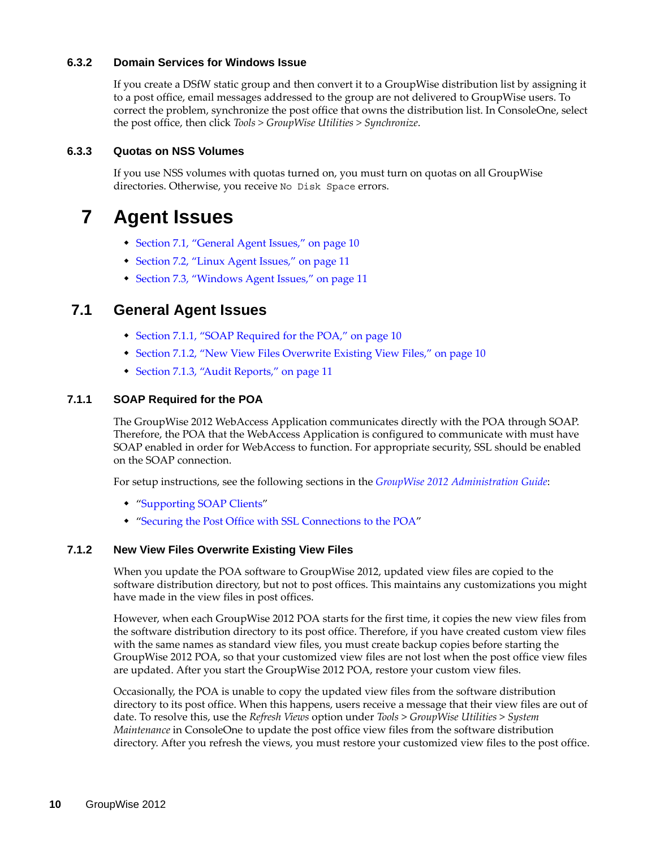## <span id="page-9-0"></span>**6.3.2 Domain Services for Windows Issue**

If you create a DSfW static group and then convert it to a GroupWise distribution list by assigning it to a post office, email messages addressed to the group are not delivered to GroupWise users. To correct the problem, synchronize the post office that owns the distribution list. In ConsoleOne, select the post office, then click *Tools > GroupWise Utilities > Synchronize*.

## <span id="page-9-1"></span>**6.3.3 Quotas on NSS Volumes**

If you use NSS volumes with quotas turned on, you must turn on quotas on all GroupWise directories. Otherwise, you receive No Disk Space errors.

# **7 Agent Issues**

- [Section 7.1, "General Agent Issues," on page 10](#page-9-2)
- [Section 7.2, "Linux Agent Issues," on page 11](#page-10-0)
- [Section 7.3, "Windows Agent Issues," on page 11](#page-10-1)

# <span id="page-9-2"></span>**7.1 General Agent Issues**

- [Section 7.1.1, "SOAP Required for the POA," on page 10](#page-9-3)
- [Section 7.1.2, "New View Files Overwrite Existing View Files," on page 10](#page-9-4)
- [Section 7.1.3, "Audit Reports," on page 11](#page-10-2)

## <span id="page-9-3"></span>**7.1.1 SOAP Required for the POA**

The GroupWise 2012 WebAccess Application communicates directly with the POA through SOAP. Therefore, the POA that the WebAccess Application is configured to communicate with must have SOAP enabled in order for WebAccess to function. For appropriate security, SSL should be enabled on the SOAP connection.

For setup instructions, see the following sections in the *GroupWise 2012 Administration Guide*:

- "Supporting SOAP Clients"
- "Securing the Post Office with SSL Connections to the POA"

## <span id="page-9-4"></span>**7.1.2 New View Files Overwrite Existing View Files**

When you update the POA software to GroupWise 2012, updated view files are copied to the software distribution directory, but not to post offices. This maintains any customizations you might have made in the view files in post offices.

However, when each GroupWise 2012 POA starts for the first time, it copies the new view files from the software distribution directory to its post office. Therefore, if you have created custom view files with the same names as standard view files, you must create backup copies before starting the GroupWise 2012 POA, so that your customized view files are not lost when the post office view files are updated. After you start the GroupWise 2012 POA, restore your custom view files.

Occasionally, the POA is unable to copy the updated view files from the software distribution directory to its post office. When this happens, users receive a message that their view files are out of date. To resolve this, use the *Refresh Views* option under *Tools* > *GroupWise Utilities* > *System Maintenance* in ConsoleOne to update the post office view files from the software distribution directory. After you refresh the views, you must restore your customized view files to the post office.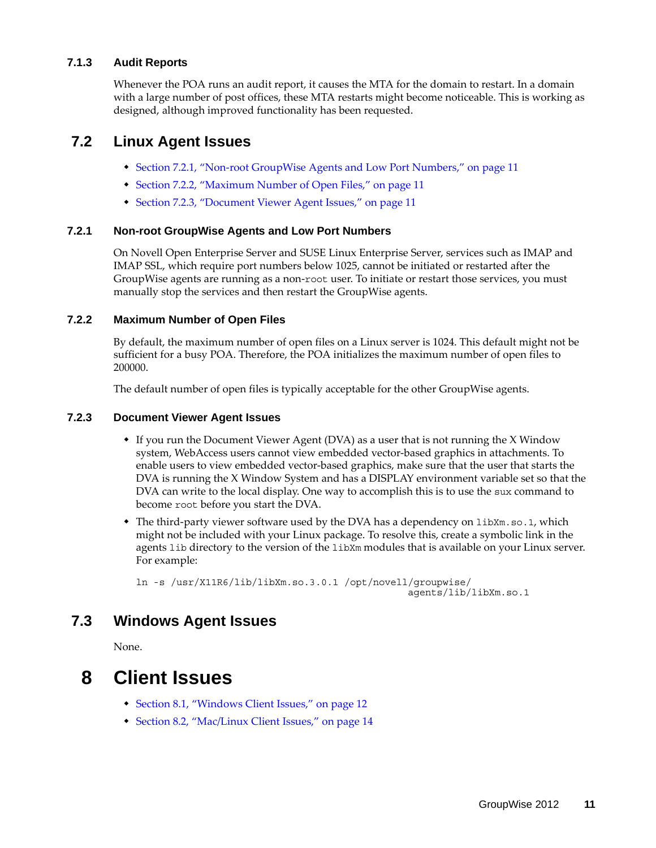## <span id="page-10-2"></span>**7.1.3 Audit Reports**

Whenever the POA runs an audit report, it causes the MTA for the domain to restart. In a domain with a large number of post offices, these MTA restarts might become noticeable. This is working as designed, although improved functionality has been requested.

# <span id="page-10-0"></span>**7.2 Linux Agent Issues**

- [Section 7.2.1, "Non-root GroupWise Agents and Low Port Numbers," on page 11](#page-10-3)
- [Section 7.2.2, "Maximum Number of Open Files," on page 11](#page-10-4)
- [Section 7.2.3, "Document Viewer Agent Issues," on page 11](#page-10-5)

## <span id="page-10-3"></span>**7.2.1 Non-root GroupWise Agents and Low Port Numbers**

On Novell Open Enterprise Server and SUSE Linux Enterprise Server, services such as IMAP and IMAP SSL, which require port numbers below 1025, cannot be initiated or restarted after the GroupWise agents are running as a non-root user. To initiate or restart those services, you must manually stop the services and then restart the GroupWise agents.

## <span id="page-10-4"></span>**7.2.2 Maximum Number of Open Files**

By default, the maximum number of open files on a Linux server is 1024. This default might not be sufficient for a busy POA. Therefore, the POA initializes the maximum number of open files to 200000.

The default number of open files is typically acceptable for the other GroupWise agents.

## <span id="page-10-5"></span>**7.2.3 Document Viewer Agent Issues**

- If you run the Document Viewer Agent (DVA) as a user that is not running the X Window system, WebAccess users cannot view embedded vector-based graphics in attachments. To enable users to view embedded vector-based graphics, make sure that the user that starts the DVA is running the X Window System and has a DISPLAY environment variable set so that the DVA can write to the local display. One way to accomplish this is to use the sux command to become root before you start the DVA.
- The third-party viewer software used by the DVA has a dependency on  $\text{libXm.s.}$  1, which might not be included with your Linux package. To resolve this, create a symbolic link in the agents lib directory to the version of the libXm modules that is available on your Linux server. For example:

ln -s /usr/X11R6/lib/libXm.so.3.0.1 /opt/novell/groupwise/ agents/lib/libXm.so.1

# <span id="page-10-1"></span>**7.3 Windows Agent Issues**

None.

# **8 Client Issues**

- [Section 8.1, "Windows Client Issues," on page 12](#page-11-0)
- [Section 8.2, "Mac/Linux Client Issues," on page 14](#page-13-0)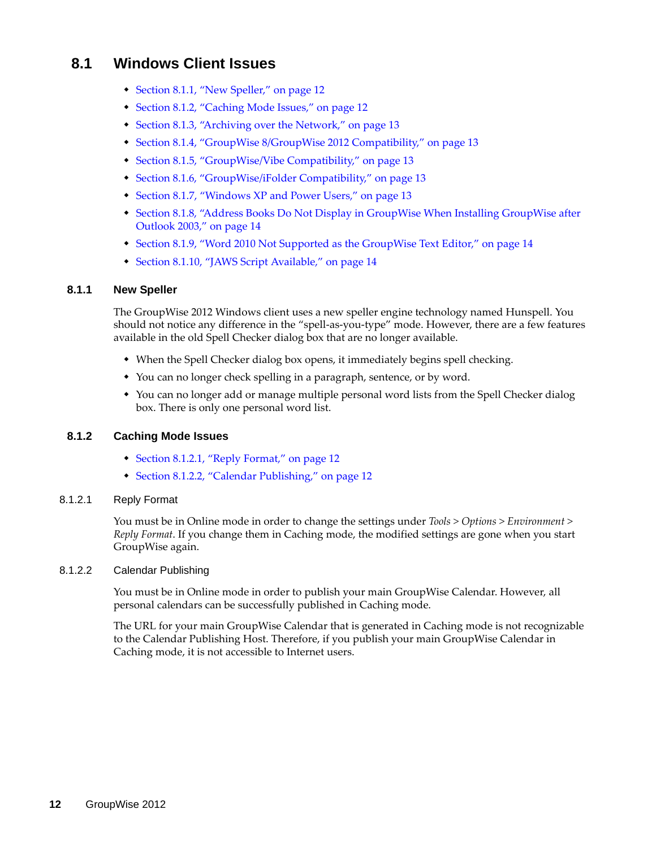# <span id="page-11-0"></span>**8.1 Windows Client Issues**

- [Section 8.1.1, "New Speller," on page 12](#page-11-1)
- [Section 8.1.2, "Caching Mode Issues," on page 12](#page-11-2)
- [Section 8.1.3, "Archiving over the Network," on page 13](#page-12-0)
- [Section 8.1.4, "GroupWise 8/GroupWise 2012 Compatibility," on page 13](#page-12-1)
- [Section 8.1.5, "GroupWise/Vibe Compatibility," on page 13](#page-12-2)
- [Section 8.1.6, "GroupWise/iFolder Compatibility," on page 13](#page-12-3)
- [Section 8.1.7, "Windows XP and Power Users," on page 13](#page-12-4)
- [Section 8.1.8, "Address Books Do Not Display in GroupWise When Installing GroupWise after](#page-13-2)  [Outlook 2003," on page 14](#page-13-2)
- [Section 8.1.9, "Word 2010 Not Supported as the GroupWise Text Editor," on page 14](#page-13-3)
- [Section 8.1.10, "JAWS Script Available," on page 14](#page-13-1)

### <span id="page-11-1"></span>**8.1.1 New Speller**

The GroupWise 2012 Windows client uses a new speller engine technology named Hunspell. You should not notice any difference in the "spell-as-you-type" mode. However, there are a few features available in the old Spell Checker dialog box that are no longer available.

- When the Spell Checker dialog box opens, it immediately begins spell checking.
- You can no longer check spelling in a paragraph, sentence, or by word.
- You can no longer add or manage multiple personal word lists from the Spell Checker dialog box. There is only one personal word list.

## <span id="page-11-2"></span>**8.1.2 Caching Mode Issues**

- [Section 8.1.2.1, "Reply Format," on page 12](#page-11-3)
- [Section 8.1.2.2, "Calendar Publishing," on page 12](#page-11-4)

### <span id="page-11-3"></span>8.1.2.1 Reply Format

You must be in Online mode in order to change the settings under *Tools > Options > Environment > Reply Format*. If you change them in Caching mode, the modified settings are gone when you start GroupWise again.

### <span id="page-11-4"></span>8.1.2.2 Calendar Publishing

You must be in Online mode in order to publish your main GroupWise Calendar. However, all personal calendars can be successfully published in Caching mode.

The URL for your main GroupWise Calendar that is generated in Caching mode is not recognizable to the Calendar Publishing Host. Therefore, if you publish your main GroupWise Calendar in Caching mode, it is not accessible to Internet users.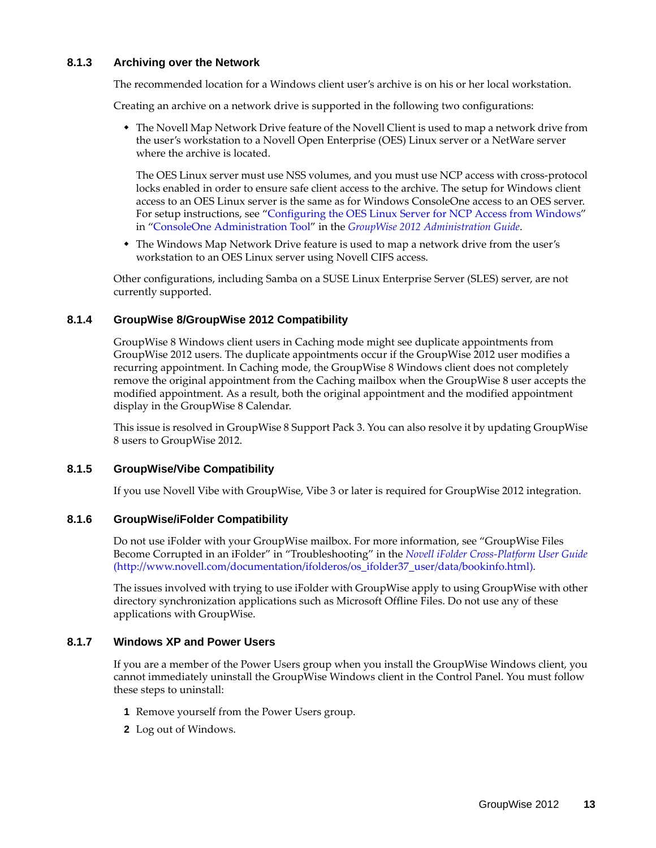### <span id="page-12-0"></span>**8.1.3 Archiving over the Network**

The recommended location for a Windows client user's archive is on his or her local workstation.

Creating an archive on a network drive is supported in the following two configurations:

 The Novell Map Network Drive feature of the Novell Client is used to map a network drive from the user's workstation to a Novell Open Enterprise (OES) Linux server or a NetWare server where the archive is located.

The OES Linux server must use NSS volumes, and you must use NCP access with cross-protocol locks enabled in order to ensure safe client access to the archive. The setup for Windows client access to an OES Linux server is the same as for Windows ConsoleOne access to an OES server. For setup instructions, see "Configuring the OES Linux Server for NCP Access from Windows" in "ConsoleOne Administration Tool" in the *GroupWise 2012 Administration Guide*.

• The Windows Map Network Drive feature is used to map a network drive from the user's workstation to an OES Linux server using Novell CIFS access.

Other configurations, including Samba on a SUSE Linux Enterprise Server (SLES) server, are not currently supported.

### <span id="page-12-1"></span>**8.1.4 GroupWise 8/GroupWise 2012 Compatibility**

GroupWise 8 Windows client users in Caching mode might see duplicate appointments from GroupWise 2012 users. The duplicate appointments occur if the GroupWise 2012 user modifies a recurring appointment. In Caching mode, the GroupWise 8 Windows client does not completely remove the original appointment from the Caching mailbox when the GroupWise 8 user accepts the modified appointment. As a result, both the original appointment and the modified appointment display in the GroupWise 8 Calendar.

This issue is resolved in GroupWise 8 Support Pack 3. You can also resolve it by updating GroupWise 8 users to GroupWise 2012.

## <span id="page-12-2"></span>**8.1.5 GroupWise/Vibe Compatibility**

If you use Novell Vibe with GroupWise, Vibe 3 or later is required for GroupWise 2012 integration.

### <span id="page-12-3"></span>**8.1.6 GroupWise/iFolder Compatibility**

Do not use iFolder with your GroupWise mailbox. For more information, see "GroupWise Files Become Corrupted in an iFolder" in "Troubleshooting" in the *[Novell iFolder Cross-Platform User Guide](http://www.novell.com/documentation/ifolderos/os_ifolder37_user/data/bookinfo.html)* (http://www.novell.com/documentation/ifolderos/os\_ifolder37\_user/data/bookinfo.html).

The issues involved with trying to use iFolder with GroupWise apply to using GroupWise with other directory synchronization applications such as Microsoft Offline Files. Do not use any of these applications with GroupWise.

### <span id="page-12-4"></span>**8.1.7 Windows XP and Power Users**

If you are a member of the Power Users group when you install the GroupWise Windows client, you cannot immediately uninstall the GroupWise Windows client in the Control Panel. You must follow these steps to uninstall:

- **1** Remove yourself from the Power Users group.
- **2** Log out of Windows.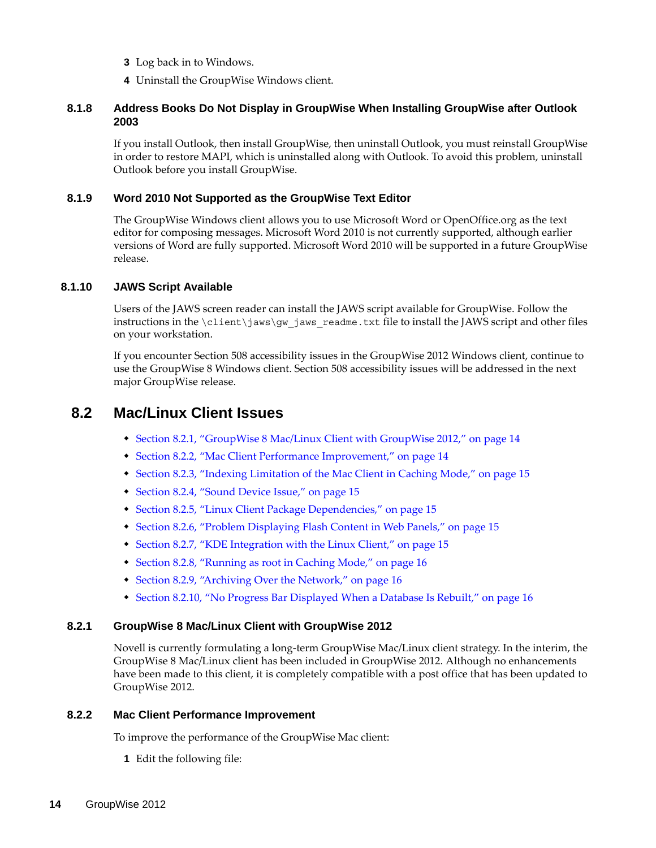- **3** Log back in to Windows.
- **4** Uninstall the GroupWise Windows client.

## <span id="page-13-2"></span>**8.1.8 Address Books Do Not Display in GroupWise When Installing GroupWise after Outlook 2003**

If you install Outlook, then install GroupWise, then uninstall Outlook, you must reinstall GroupWise in order to restore MAPI, which is uninstalled along with Outlook. To avoid this problem, uninstall Outlook before you install GroupWise.

### <span id="page-13-3"></span>**8.1.9 Word 2010 Not Supported as the GroupWise Text Editor**

The GroupWise Windows client allows you to use Microsoft Word or OpenOffice.org as the text editor for composing messages. Microsoft Word 2010 is not currently supported, although earlier versions of Word are fully supported. Microsoft Word 2010 will be supported in a future GroupWise release.

### <span id="page-13-1"></span>**8.1.10 JAWS Script Available**

Users of the JAWS screen reader can install the JAWS script available for GroupWise. Follow the instructions in the  $\clap{\text{client}}jaws\gtrap{\text{gw}}jaws\,$  readme.txt file to install the JAWS script and other files on your workstation.

If you encounter Section 508 accessibility issues in the GroupWise 2012 Windows client, continue to use the GroupWise 8 Windows client. Section 508 accessibility issues will be addressed in the next major GroupWise release.

# <span id="page-13-0"></span>**8.2 Mac/Linux Client Issues**

- [Section 8.2.1, "GroupWise 8 Mac/Linux Client with GroupWise 2012," on page 14](#page-13-4)
- [Section 8.2.2, "Mac Client Performance Improvement," on page 14](#page-13-5)
- [Section 8.2.3, "Indexing Limitation of the Mac Client in Caching Mode," on page 15](#page-14-0)
- [Section 8.2.4, "Sound Device Issue," on page 15](#page-14-1)
- [Section 8.2.5, "Linux Client Package Dependencies," on page 15](#page-14-2)
- \* [Section 8.2.6, "Problem Displaying Flash Content in Web Panels," on page 15](#page-14-3)
- [Section 8.2.7, "KDE Integration with the Linux Client," on page 15](#page-14-4)
- [Section 8.2.8, "Running as root in Caching Mode," on page 16](#page-15-1)
- [Section 8.2.9, "Archiving Over the Network," on page 16](#page-15-2)
- [Section 8.2.10, "No Progress Bar Displayed When a Database Is Rebuilt," on page 16](#page-15-0)

## <span id="page-13-4"></span>**8.2.1 GroupWise 8 Mac/Linux Client with GroupWise 2012**

Novell is currently formulating a long-term GroupWise Mac/Linux client strategy. In the interim, the GroupWise 8 Mac/Linux client has been included in GroupWise 2012. Although no enhancements have been made to this client, it is completely compatible with a post office that has been updated to GroupWise 2012.

### <span id="page-13-5"></span>**8.2.2 Mac Client Performance Improvement**

To improve the performance of the GroupWise Mac client:

**1** Edit the following file: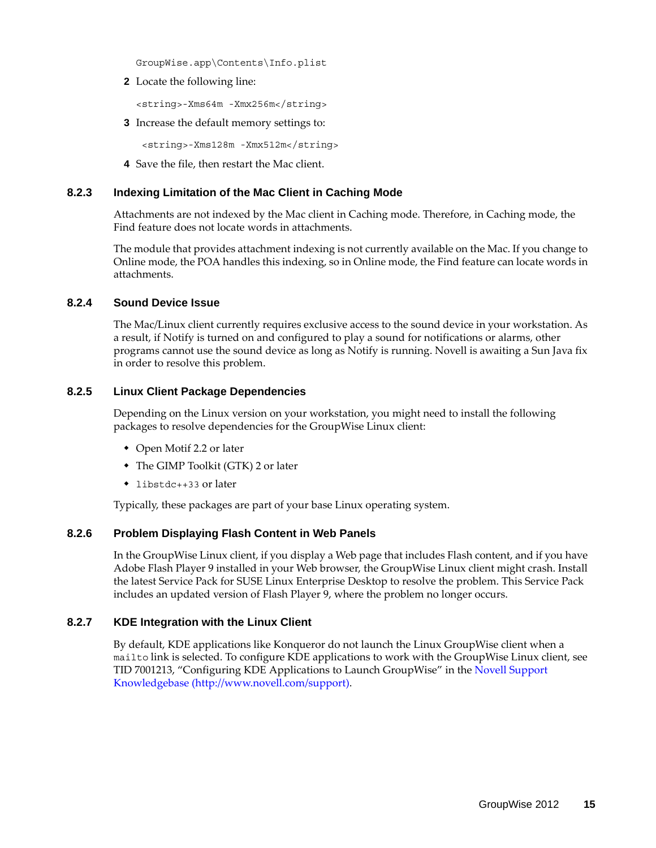GroupWise.app\Contents\Info.plist

**2** Locate the following line:

<string>-Xms64m -Xmx256m</string>

**3** Increase the default memory settings to:

<string>-Xms128m -Xmx512m</string>

**4** Save the file, then restart the Mac client.

### <span id="page-14-0"></span>**8.2.3 Indexing Limitation of the Mac Client in Caching Mode**

Attachments are not indexed by the Mac client in Caching mode. Therefore, in Caching mode, the Find feature does not locate words in attachments.

The module that provides attachment indexing is not currently available on the Mac. If you change to Online mode, the POA handles this indexing, so in Online mode, the Find feature can locate words in attachments.

### <span id="page-14-1"></span>**8.2.4 Sound Device Issue**

The Mac/Linux client currently requires exclusive access to the sound device in your workstation. As a result, if Notify is turned on and configured to play a sound for notifications or alarms, other programs cannot use the sound device as long as Notify is running. Novell is awaiting a Sun Java fix in order to resolve this problem.

### <span id="page-14-2"></span>**8.2.5 Linux Client Package Dependencies**

Depending on the Linux version on your workstation, you might need to install the following packages to resolve dependencies for the GroupWise Linux client:

- Open Motif 2.2 or later
- The GIMP Toolkit (GTK) 2 or later
- libstdc++33 or later

Typically, these packages are part of your base Linux operating system.

## <span id="page-14-3"></span>**8.2.6 Problem Displaying Flash Content in Web Panels**

In the GroupWise Linux client, if you display a Web page that includes Flash content, and if you have Adobe Flash Player 9 installed in your Web browser, the GroupWise Linux client might crash. Install the latest Service Pack for SUSE Linux Enterprise Desktop to resolve the problem. This Service Pack includes an updated version of Flash Player 9, where the problem no longer occurs.

### <span id="page-14-4"></span>**8.2.7 KDE Integration with the Linux Client**

By default, KDE applications like Konqueror do not launch the Linux GroupWise client when a mailto link is selected. To configure KDE applications to work with the GroupWise Linux client, see TID 7001213, "Configuring KDE Applications to Launch GroupWise" in the [Novell Support](http://www.novell.com/support)  [Knowledgebase](http://www.novell.com/support) (http://www.novell.com/support).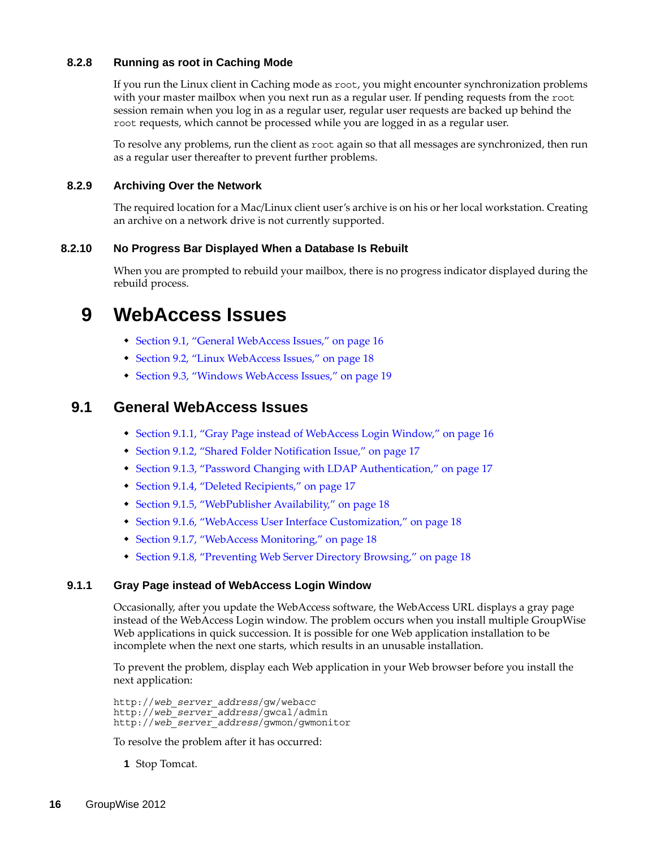## <span id="page-15-1"></span>**8.2.8 Running as root in Caching Mode**

If you run the Linux client in Caching mode as root, you might encounter synchronization problems with your master mailbox when you next run as a regular user. If pending requests from the root session remain when you log in as a regular user, regular user requests are backed up behind the root requests, which cannot be processed while you are logged in as a regular user.

To resolve any problems, run the client as root again so that all messages are synchronized, then run as a regular user thereafter to prevent further problems.

## <span id="page-15-2"></span>**8.2.9 Archiving Over the Network**

The required location for a Mac/Linux client user's archive is on his or her local workstation. Creating an archive on a network drive is not currently supported.

## <span id="page-15-0"></span>**8.2.10 No Progress Bar Displayed When a Database Is Rebuilt**

When you are prompted to rebuild your mailbox, there is no progress indicator displayed during the rebuild process.

# **9 WebAccess Issues**

- [Section 9.1, "General WebAccess Issues," on page 16](#page-15-3)
- [Section 9.2, "Linux WebAccess Issues," on page 18](#page-17-4)
- [Section 9.3, "Windows WebAccess Issues," on page 19](#page-18-0)

# <span id="page-15-3"></span>**9.1 General WebAccess Issues**

- [Section 9.1.1, "Gray Page instead of WebAccess Login Window," on page 16](#page-15-4)
- [Section 9.1.2, "Shared Folder Notification Issue," on page 17](#page-16-2)
- [Section 9.1.3, "Password Changing with LDAP Authentication," on page 17](#page-16-0)
- [Section 9.1.4, "Deleted Recipients," on page 17](#page-16-1)
- [Section 9.1.5, "WebPublisher Availability," on page 18](#page-17-0)
- [Section 9.1.6, "WebAccess User Interface Customization," on page 18](#page-17-1)
- [Section 9.1.7, "WebAccess Monitoring," on page 18](#page-17-2)
- [Section 9.1.8, "Preventing Web Server Directory Browsing," on page 18](#page-17-3)

## <span id="page-15-4"></span>**9.1.1 Gray Page instead of WebAccess Login Window**

Occasionally, after you update the WebAccess software, the WebAccess URL displays a gray page instead of the WebAccess Login window. The problem occurs when you install multiple GroupWise Web applications in quick succession. It is possible for one Web application installation to be incomplete when the next one starts, which results in an unusable installation.

To prevent the problem, display each Web application in your Web browser before you install the next application:

http://*web\_server\_address*/gw/webacc http://*web\_server\_address*/gwcal/admin http://*web\_server\_address*/gwmon/gwmonitor

To resolve the problem after it has occurred:

**1** Stop Tomcat.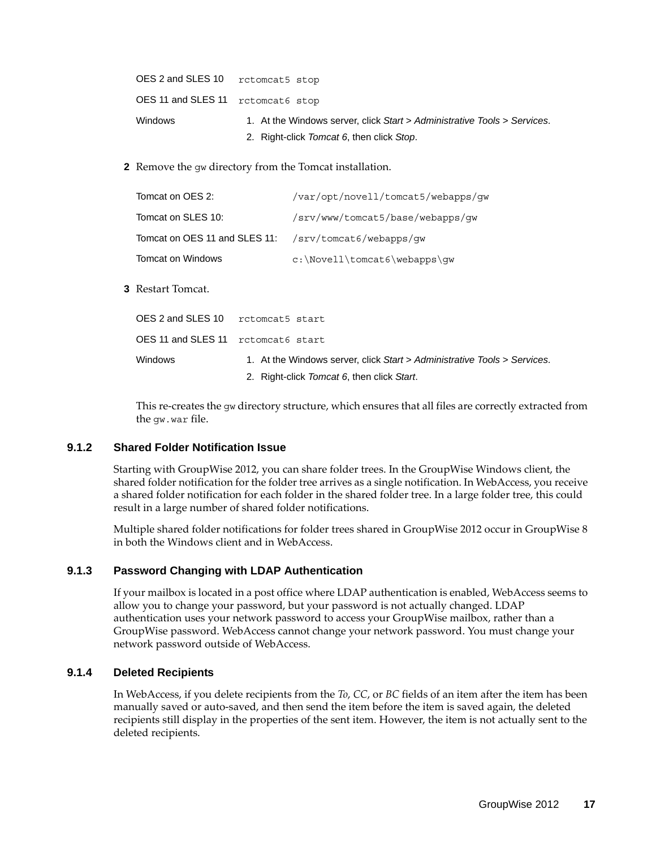| OES 2 and SLES 10 retomeat5 stop  |                                                                          |
|-----------------------------------|--------------------------------------------------------------------------|
| OES 11 and SLES 11 retomeat6 stop |                                                                          |
| Windows                           | 1. At the Windows server, click Start > Administrative Tools > Services. |
|                                   | 2. Right-click Tomcat 6, then click Stop.                                |

**2** Remove the gw directory from the Tomcat installation.

| Tomcat on OES 2:                                      | /var/opt/novell/tomcat5/webapps/gw |
|-------------------------------------------------------|------------------------------------|
| Tomcat on SLES 10:                                    | /srv/www/tomcat5/base/webapps/qw   |
| Tomcat on OES 11 and SLES 11: /srv/tomcat6/webapps/qw |                                    |
| Tomcat on Windows                                     | $c:\Novell\tomcat6\webapps\qw$     |

**3** Restart Tomcat.

| OES 2 and SLES 10                  | rctomcat5 start                                                          |
|------------------------------------|--------------------------------------------------------------------------|
| OES 11 and SLES 11 retomeat6 start |                                                                          |
| <b>Windows</b>                     | 1. At the Windows server, click Start > Administrative Tools > Services. |
|                                    | 2. Right-click Tomcat 6, then click Start.                               |

This re-creates the gw directory structure, which ensures that all files are correctly extracted from the gw.war file.

### <span id="page-16-2"></span>**9.1.2 Shared Folder Notification Issue**

Starting with GroupWise 2012, you can share folder trees. In the GroupWise Windows client, the shared folder notification for the folder tree arrives as a single notification. In WebAccess, you receive a shared folder notification for each folder in the shared folder tree. In a large folder tree, this could result in a large number of shared folder notifications.

Multiple shared folder notifications for folder trees shared in GroupWise 2012 occur in GroupWise 8 in both the Windows client and in WebAccess.

## <span id="page-16-0"></span>**9.1.3 Password Changing with LDAP Authentication**

If your mailbox is located in a post office where LDAP authentication is enabled, WebAccess seems to allow you to change your password, but your password is not actually changed. LDAP authentication uses your network password to access your GroupWise mailbox, rather than a GroupWise password. WebAccess cannot change your network password. You must change your network password outside of WebAccess.

## <span id="page-16-1"></span>**9.1.4 Deleted Recipients**

In WebAccess, if you delete recipients from the *To*, *CC*, or *BC* fields of an item after the item has been manually saved or auto-saved, and then send the item before the item is saved again, the deleted recipients still display in the properties of the sent item. However, the item is not actually sent to the deleted recipients.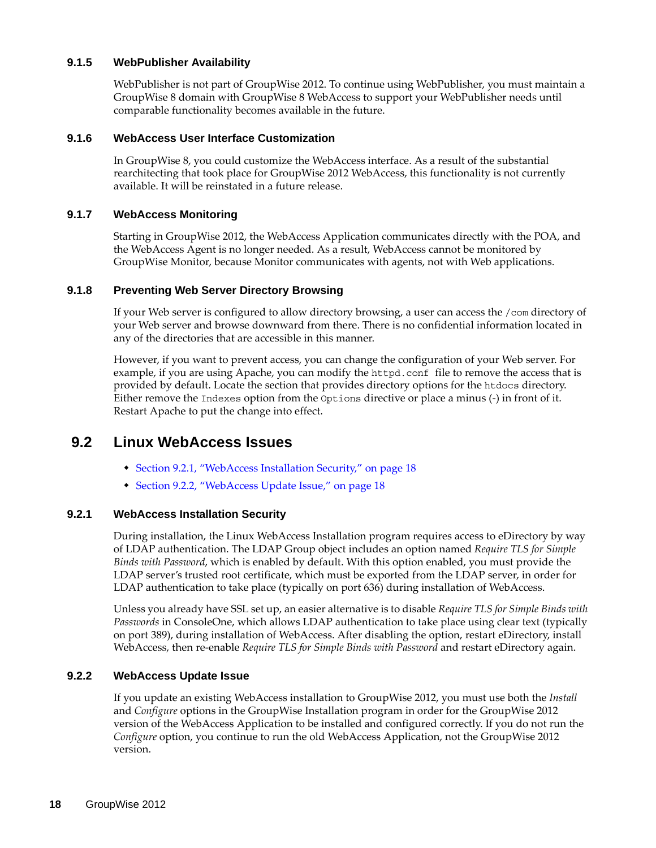### <span id="page-17-0"></span>**9.1.5 WebPublisher Availability**

WebPublisher is not part of GroupWise 2012. To continue using WebPublisher, you must maintain a GroupWise 8 domain with GroupWise 8 WebAccess to support your WebPublisher needs until comparable functionality becomes available in the future.

### <span id="page-17-1"></span>**9.1.6 WebAccess User Interface Customization**

In GroupWise 8, you could customize the WebAccess interface. As a result of the substantial rearchitecting that took place for GroupWise 2012 WebAccess, this functionality is not currently available. It will be reinstated in a future release.

### <span id="page-17-2"></span>**9.1.7 WebAccess Monitoring**

Starting in GroupWise 2012, the WebAccess Application communicates directly with the POA, and the WebAccess Agent is no longer needed. As a result, WebAccess cannot be monitored by GroupWise Monitor, because Monitor communicates with agents, not with Web applications.

### <span id="page-17-3"></span>**9.1.8 Preventing Web Server Directory Browsing**

If your Web server is configured to allow directory browsing, a user can access the /com directory of your Web server and browse downward from there. There is no confidential information located in any of the directories that are accessible in this manner.

However, if you want to prevent access, you can change the configuration of your Web server. For example, if you are using Apache, you can modify the httpd.conf file to remove the access that is provided by default. Locate the section that provides directory options for the htdocs directory. Either remove the Indexes option from the Options directive or place a minus (-) in front of it. Restart Apache to put the change into effect.

# <span id="page-17-4"></span>**9.2 Linux WebAccess Issues**

- [Section 9.2.1, "WebAccess Installation Security," on page 18](#page-17-5)
- [Section 9.2.2, "WebAccess Update Issue," on page 18](#page-17-6)

### <span id="page-17-5"></span>**9.2.1 WebAccess Installation Security**

During installation, the Linux WebAccess Installation program requires access to eDirectory by way of LDAP authentication. The LDAP Group object includes an option named *Require TLS for Simple Binds with Password*, which is enabled by default. With this option enabled, you must provide the LDAP server's trusted root certificate, which must be exported from the LDAP server, in order for LDAP authentication to take place (typically on port 636) during installation of WebAccess.

Unless you already have SSL set up, an easier alternative is to disable *Require TLS for Simple Binds with Passwords* in ConsoleOne, which allows LDAP authentication to take place using clear text (typically on port 389), during installation of WebAccess. After disabling the option, restart eDirectory, install WebAccess, then re-enable *Require TLS for Simple Binds with Password* and restart eDirectory again.

### <span id="page-17-6"></span>**9.2.2 WebAccess Update Issue**

If you update an existing WebAccess installation to GroupWise 2012, you must use both the *Install* and *Configure* options in the GroupWise Installation program in order for the GroupWise 2012 version of the WebAccess Application to be installed and configured correctly. If you do not run the *Configure* option, you continue to run the old WebAccess Application, not the GroupWise 2012 version.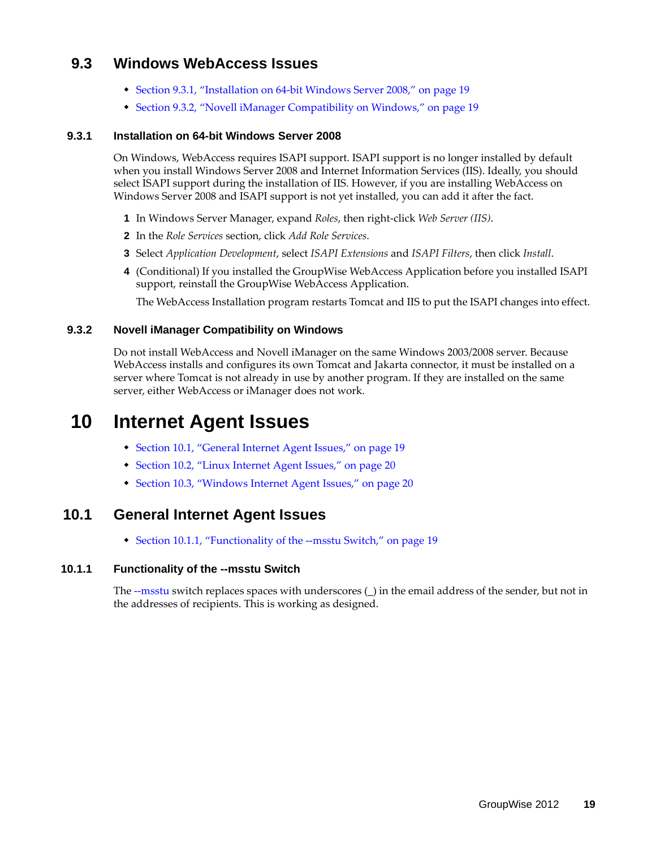# <span id="page-18-0"></span>**9.3 Windows WebAccess Issues**

- [Section 9.3.1, "Installation on 64-bit Windows Server 2008," on page 19](#page-18-2)
- [Section 9.3.2, "Novell iManager Compatibility on Windows," on page 19](#page-18-1)

## <span id="page-18-2"></span>**9.3.1 Installation on 64-bit Windows Server 2008**

On Windows, WebAccess requires ISAPI support. ISAPI support is no longer installed by default when you install Windows Server 2008 and Internet Information Services (IIS). Ideally, you should select ISAPI support during the installation of IIS. However, if you are installing WebAccess on Windows Server 2008 and ISAPI support is not yet installed, you can add it after the fact.

- **1** In Windows Server Manager, expand *Roles*, then right-click *Web Server (IIS)*.
- **2** In the *Role Services* section, click *Add Role Services*.
- **3** Select *Application Development*, select *ISAPI Extensions* and *ISAPI Filters*, then click *Install*.
- **4** (Conditional) If you installed the GroupWise WebAccess Application before you installed ISAPI support, reinstall the GroupWise WebAccess Application.

The WebAccess Installation program restarts Tomcat and IIS to put the ISAPI changes into effect.

## <span id="page-18-1"></span>**9.3.2 Novell iManager Compatibility on Windows**

Do not install WebAccess and Novell iManager on the same Windows 2003/2008 server. Because WebAccess installs and configures its own Tomcat and Jakarta connector, it must be installed on a server where Tomcat is not already in use by another program. If they are installed on the same server, either WebAccess or iManager does not work.

# **10 Internet Agent Issues**

- [Section 10.1, "General Internet Agent Issues," on page 19](#page-18-3)
- [Section 10.2, "Linux Internet Agent Issues," on page 20](#page-19-0)
- [Section 10.3, "Windows Internet Agent Issues," on page 20](#page-19-1)

# <span id="page-18-3"></span>**10.1 General Internet Agent Issues**

[Section 10.1.1, "Functionality of the --msstu Switch," on page 19](#page-18-4)

# <span id="page-18-4"></span>**10.1.1 Functionality of the --msstu Switch**

The --msstu switch replaces spaces with underscores (\_) in the email address of the sender, but not in the addresses of recipients. This is working as designed.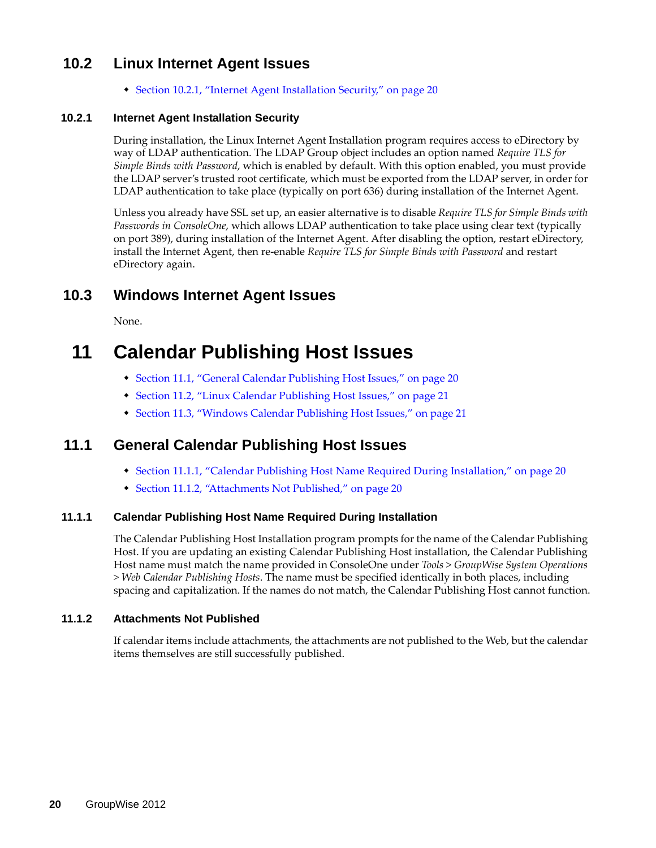# <span id="page-19-0"></span>**10.2 Linux Internet Agent Issues**

[Section 10.2.1, "Internet Agent Installation Security," on page 20](#page-19-2)

## <span id="page-19-2"></span>**10.2.1 Internet Agent Installation Security**

During installation, the Linux Internet Agent Installation program requires access to eDirectory by way of LDAP authentication. The LDAP Group object includes an option named *Require TLS for Simple Binds with Password*, which is enabled by default. With this option enabled, you must provide the LDAP server's trusted root certificate, which must be exported from the LDAP server, in order for LDAP authentication to take place (typically on port 636) during installation of the Internet Agent.

Unless you already have SSL set up, an easier alternative is to disable *Require TLS for Simple Binds with Passwords in ConsoleOne*, which allows LDAP authentication to take place using clear text (typically on port 389), during installation of the Internet Agent. After disabling the option, restart eDirectory, install the Internet Agent, then re-enable *Require TLS for Simple Binds with Password* and restart eDirectory again.

# <span id="page-19-1"></span>**10.3 Windows Internet Agent Issues**

None.

# **11 Calendar Publishing Host Issues**

- [Section 11.1, "General Calendar Publishing Host Issues," on page 20](#page-19-3)
- [Section 11.2, "Linux Calendar Publishing Host Issues," on page 21](#page-20-0)
- [Section 11.3, "Windows Calendar Publishing Host Issues," on page 21](#page-20-1)

# <span id="page-19-3"></span>**11.1 General Calendar Publishing Host Issues**

- [Section 11.1.1, "Calendar Publishing Host Name Required During Installation," on page 20](#page-19-4)
- [Section 11.1.2, "Attachments Not Published," on page 20](#page-19-5)

## <span id="page-19-4"></span>**11.1.1 Calendar Publishing Host Name Required During Installation**

The Calendar Publishing Host Installation program prompts for the name of the Calendar Publishing Host. If you are updating an existing Calendar Publishing Host installation, the Calendar Publishing Host name must match the name provided in ConsoleOne under *Tools > GroupWise System Operations > Web Calendar Publishing Hosts*. The name must be specified identically in both places, including spacing and capitalization. If the names do not match, the Calendar Publishing Host cannot function.

## <span id="page-19-5"></span>**11.1.2 Attachments Not Published**

If calendar items include attachments, the attachments are not published to the Web, but the calendar items themselves are still successfully published.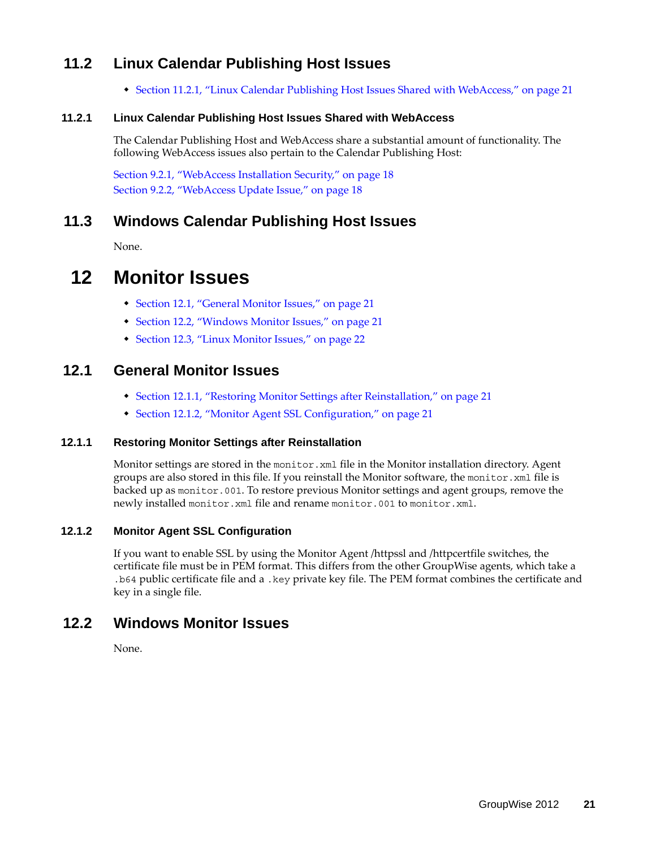# <span id="page-20-0"></span>**11.2 Linux Calendar Publishing Host Issues**

[Section 11.2.1, "Linux Calendar Publishing Host Issues Shared with WebAccess," on page 21](#page-20-2)

# <span id="page-20-2"></span>**11.2.1 Linux Calendar Publishing Host Issues Shared with WebAccess**

The Calendar Publishing Host and WebAccess share a substantial amount of functionality. The following WebAccess issues also pertain to the Calendar Publishing Host:

[Section 9.2.1, "WebAccess Installation Security," on page 18](#page-17-5) [Section 9.2.2, "WebAccess Update Issue," on page 18](#page-17-6)

# <span id="page-20-1"></span>**11.3 Windows Calendar Publishing Host Issues**

None.

# **12 Monitor Issues**

- [Section 12.1, "General Monitor Issues," on page 21](#page-20-3)
- [Section 12.2, "Windows Monitor Issues," on page 21](#page-20-4)
- [Section 12.3, "Linux Monitor Issues," on page 22](#page-21-0)

# <span id="page-20-3"></span>**12.1 General Monitor Issues**

- [Section 12.1.1, "Restoring Monitor Settings after Reinstallation," on page 21](#page-20-5)
- [Section 12.1.2, "Monitor Agent SSL Configuration," on page 21](#page-20-6)

# <span id="page-20-5"></span>**12.1.1 Restoring Monitor Settings after Reinstallation**

Monitor settings are stored in the monitor. xml file in the Monitor installation directory. Agent groups are also stored in this file. If you reinstall the Monitor software, the monitor.xml file is backed up as monitor.001. To restore previous Monitor settings and agent groups, remove the newly installed monitor.xml file and rename monitor.001 to monitor.xml.

# <span id="page-20-6"></span>**12.1.2 Monitor Agent SSL Configuration**

If you want to enable SSL by using the Monitor Agent /httpssl and /httpcertfile switches, the certificate file must be in PEM format. This differs from the other GroupWise agents, which take a .b64 public certificate file and a .key private key file. The PEM format combines the certificate and key in a single file.

# <span id="page-20-4"></span>**12.2 Windows Monitor Issues**

None.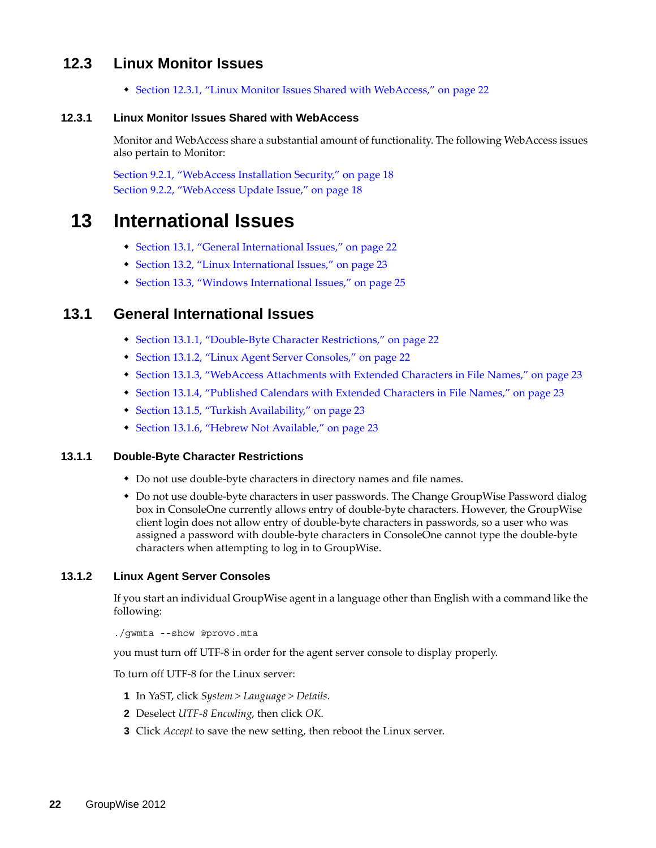# <span id="page-21-0"></span>**12.3 Linux Monitor Issues**

[Section 12.3.1, "Linux Monitor Issues Shared with WebAccess," on page 22](#page-21-1)

## <span id="page-21-1"></span>**12.3.1 Linux Monitor Issues Shared with WebAccess**

Monitor and WebAccess share a substantial amount of functionality. The following WebAccess issues also pertain to Monitor:

[Section 9.2.1, "WebAccess Installation Security," on page 18](#page-17-5) [Section 9.2.2, "WebAccess Update Issue," on page 18](#page-17-6)

# **13 International Issues**

- [Section 13.1, "General International Issues," on page 22](#page-21-2)
- [Section 13.2, "Linux International Issues," on page 23](#page-22-0)
- [Section 13.3, "Windows International Issues," on page 25](#page-24-0)

# <span id="page-21-2"></span>**13.1 General International Issues**

- [Section 13.1.1, "Double-Byte Character Restrictions," on page 22](#page-21-3)
- [Section 13.1.2, "Linux Agent Server Consoles," on page 22](#page-21-4)
- [Section 13.1.3, "WebAccess Attachments with Extended Characters in File Names," on page 23](#page-22-1)
- [Section 13.1.4, "Published Calendars with Extended Characters in File Names," on page 23](#page-22-2)
- [Section 13.1.5, "Turkish Availability," on page 23](#page-22-3)
- [Section 13.1.6, "Hebrew Not Available," on page 23](#page-22-4)

## <span id="page-21-3"></span>**13.1.1 Double-Byte Character Restrictions**

- Do not use double-byte characters in directory names and file names.
- Do not use double-byte characters in user passwords. The Change GroupWise Password dialog box in ConsoleOne currently allows entry of double-byte characters. However, the GroupWise client login does not allow entry of double-byte characters in passwords, so a user who was assigned a password with double-byte characters in ConsoleOne cannot type the double-byte characters when attempting to log in to GroupWise.

## <span id="page-21-4"></span>**13.1.2 Linux Agent Server Consoles**

If you start an individual GroupWise agent in a language other than English with a command like the following:

./gwmta --show @provo.mta

you must turn off UTF-8 in order for the agent server console to display properly.

To turn off UTF-8 for the Linux server:

- **1** In YaST, click *System > Language > Details*.
- **2** Deselect *UTF-8 Encoding*, then click *OK*.
- **3** Click *Accept* to save the new setting, then reboot the Linux server.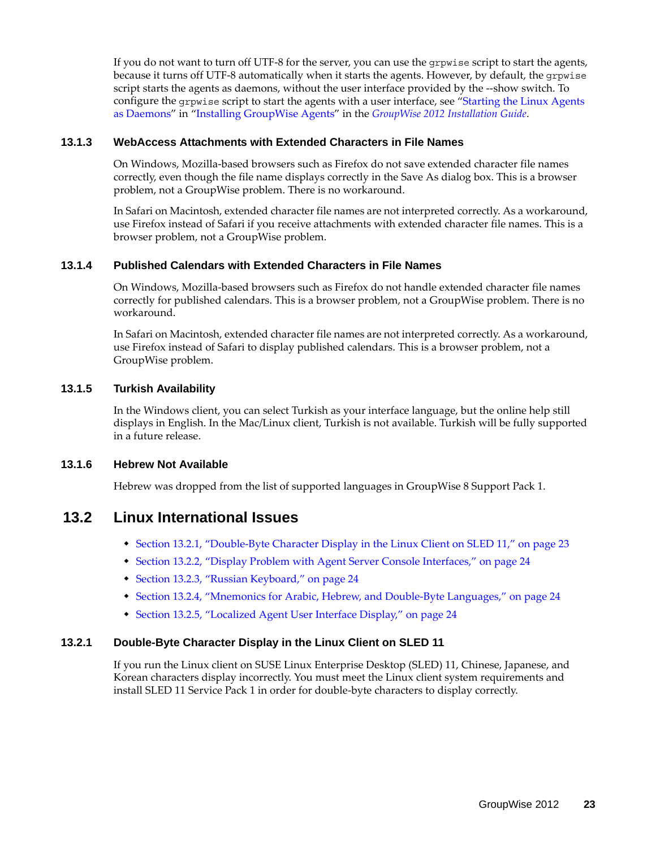If you do not want to turn off UTF-8 for the server, you can use the grpwise script to start the agents, because it turns off UTF-8 automatically when it starts the agents. However, by default, the grpwise script starts the agents as daemons, without the user interface provided by the --show switch. To configure the grpwise script to start the agents with a user interface, see "Starting the Linux Agents as Daemons" in "Installing GroupWise Agents" in the *GroupWise 2012 Installation Guide*.

### <span id="page-22-1"></span>**13.1.3 WebAccess Attachments with Extended Characters in File Names**

On Windows, Mozilla-based browsers such as Firefox do not save extended character file names correctly, even though the file name displays correctly in the Save As dialog box. This is a browser problem, not a GroupWise problem. There is no workaround.

In Safari on Macintosh, extended character file names are not interpreted correctly. As a workaround, use Firefox instead of Safari if you receive attachments with extended character file names. This is a browser problem, not a GroupWise problem.

## <span id="page-22-2"></span>**13.1.4 Published Calendars with Extended Characters in File Names**

On Windows, Mozilla-based browsers such as Firefox do not handle extended character file names correctly for published calendars. This is a browser problem, not a GroupWise problem. There is no workaround.

In Safari on Macintosh, extended character file names are not interpreted correctly. As a workaround, use Firefox instead of Safari to display published calendars. This is a browser problem, not a GroupWise problem.

## <span id="page-22-3"></span>**13.1.5 Turkish Availability**

In the Windows client, you can select Turkish as your interface language, but the online help still displays in English. In the Mac/Linux client, Turkish is not available. Turkish will be fully supported in a future release.

## <span id="page-22-4"></span>**13.1.6 Hebrew Not Available**

Hebrew was dropped from the list of supported languages in GroupWise 8 Support Pack 1.

# <span id="page-22-0"></span>**13.2 Linux International Issues**

- [Section 13.2.1, "Double-Byte Character Display in the Linux Client on SLED 11," on page 23](#page-22-5)
- [Section 13.2.2, "Display Problem with Agent Server Console Interfaces," on page 24](#page-23-0)
- [Section 13.2.3, "Russian Keyboard," on page 24](#page-23-1)
- [Section 13.2.4, "Mnemonics for Arabic, Hebrew, and Double-Byte Languages," on page 24](#page-23-2)
- [Section 13.2.5, "Localized Agent User Interface Display," on page 24](#page-23-3)

# <span id="page-22-5"></span>**13.2.1 Double-Byte Character Display in the Linux Client on SLED 11**

If you run the Linux client on SUSE Linux Enterprise Desktop (SLED) 11, Chinese, Japanese, and Korean characters display incorrectly. You must meet the Linux client system requirements and install SLED 11 Service Pack 1 in order for double-byte characters to display correctly.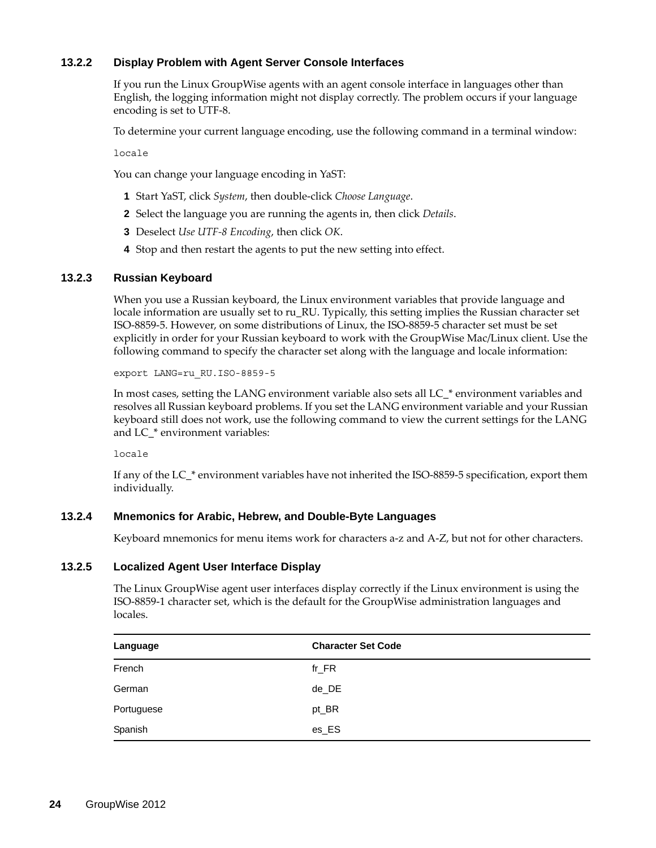## <span id="page-23-0"></span>**13.2.2 Display Problem with Agent Server Console Interfaces**

If you run the Linux GroupWise agents with an agent console interface in languages other than English, the logging information might not display correctly. The problem occurs if your language encoding is set to UTF-8.

To determine your current language encoding, use the following command in a terminal window:

locale

You can change your language encoding in YaST:

- **1** Start YaST, click *System*, then double-click *Choose Language*.
- **2** Select the language you are running the agents in, then click *Details*.
- **3** Deselect *Use UTF-8 Encoding*, then click *OK*.
- **4** Stop and then restart the agents to put the new setting into effect.

### <span id="page-23-1"></span>**13.2.3 Russian Keyboard**

When you use a Russian keyboard, the Linux environment variables that provide language and locale information are usually set to ru\_RU. Typically, this setting implies the Russian character set ISO-8859-5. However, on some distributions of Linux, the ISO-8859-5 character set must be set explicitly in order for your Russian keyboard to work with the GroupWise Mac/Linux client. Use the following command to specify the character set along with the language and locale information:

export LANG=ru\_RU.ISO-8859-5

In most cases, setting the LANG environment variable also sets all LC\_\* environment variables and resolves all Russian keyboard problems. If you set the LANG environment variable and your Russian keyboard still does not work, use the following command to view the current settings for the LANG and LC\_\* environment variables:

locale

If any of the LC\_\* environment variables have not inherited the ISO-8859-5 specification, export them individually.

### <span id="page-23-2"></span>**13.2.4 Mnemonics for Arabic, Hebrew, and Double-Byte Languages**

Keyboard mnemonics for menu items work for characters a-z and A-Z, but not for other characters.

### <span id="page-23-3"></span>**13.2.5 Localized Agent User Interface Display**

The Linux GroupWise agent user interfaces display correctly if the Linux environment is using the ISO-8859-1 character set, which is the default for the GroupWise administration languages and locales.

| Language   | <b>Character Set Code</b> |
|------------|---------------------------|
| French     | $fr_F$ R                  |
| German     | de_DE                     |
| Portuguese | pt_BR                     |
| Spanish    | $es_E$ S                  |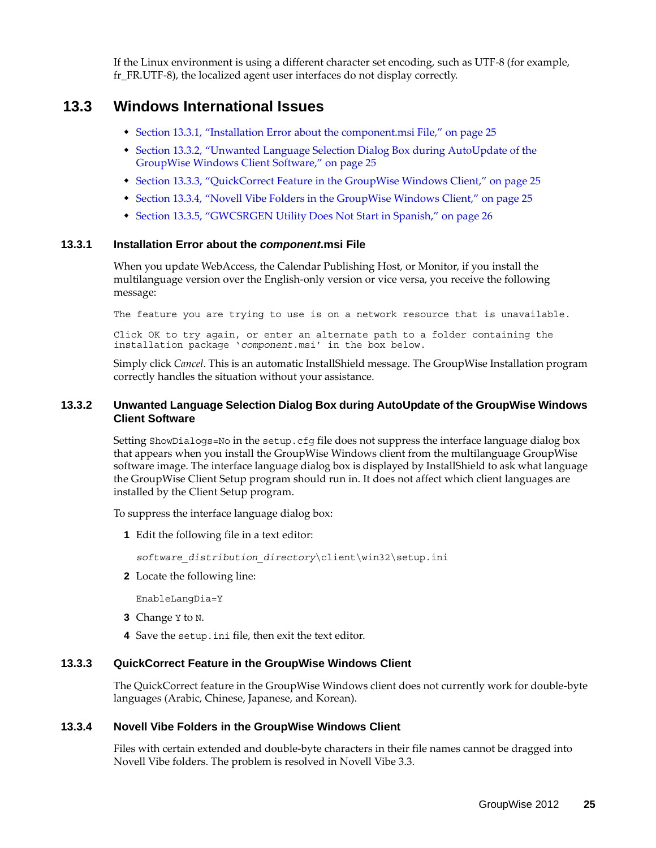If the Linux environment is using a different character set encoding, such as UTF-8 (for example, fr\_FR.UTF-8), the localized agent user interfaces do not display correctly.

# <span id="page-24-0"></span>**13.3 Windows International Issues**

- [Section 13.3.1, "Installation Error about the component.msi File," on page 25](#page-24-2)
- [Section 13.3.2, "Unwanted Language Selection Dialog Box during AutoUpdate of the](#page-24-3)  [GroupWise Windows Client Software," on page 25](#page-24-3)
- [Section 13.3.3, "QuickCorrect Feature in the GroupWise Windows Client," on page 25](#page-24-4)
- [Section 13.3.4, "Novell Vibe Folders in the GroupWise Windows Client," on page 25](#page-24-1)
- [Section 13.3.5, "GWCSRGEN Utility Does Not Start in Spanish," on page 26](#page-25-0)

### <span id="page-24-2"></span>**13.3.1 Installation Error about the** *component***.msi File**

When you update WebAccess, the Calendar Publishing Host, or Monitor, if you install the multilanguage version over the English-only version or vice versa, you receive the following message:

The feature you are trying to use is on a network resource that is unavailable.

Click OK to try again, or enter an alternate path to a folder containing the installation package '*component*.msi' in the box below.

Simply click *Cancel*. This is an automatic InstallShield message. The GroupWise Installation program correctly handles the situation without your assistance.

### <span id="page-24-3"></span>**13.3.2 Unwanted Language Selection Dialog Box during AutoUpdate of the GroupWise Windows Client Software**

Setting ShowDialogs=No in the setup.cfg file does not suppress the interface language dialog box that appears when you install the GroupWise Windows client from the multilanguage GroupWise software image. The interface language dialog box is displayed by InstallShield to ask what language the GroupWise Client Setup program should run in. It does not affect which client languages are installed by the Client Setup program.

To suppress the interface language dialog box:

**1** Edit the following file in a text editor:

*software\_distribution\_directory*\client\win32\setup.ini

**2** Locate the following line:

EnableLangDia=Y

- **3** Change Y to N.
- **4** Save the setup.ini file, then exit the text editor.

### <span id="page-24-4"></span>**13.3.3 QuickCorrect Feature in the GroupWise Windows Client**

The QuickCorrect feature in the GroupWise Windows client does not currently work for double-byte languages (Arabic, Chinese, Japanese, and Korean).

### <span id="page-24-1"></span>**13.3.4 Novell Vibe Folders in the GroupWise Windows Client**

Files with certain extended and double-byte characters in their file names cannot be dragged into Novell Vibe folders. The problem is resolved in Novell Vibe 3.3.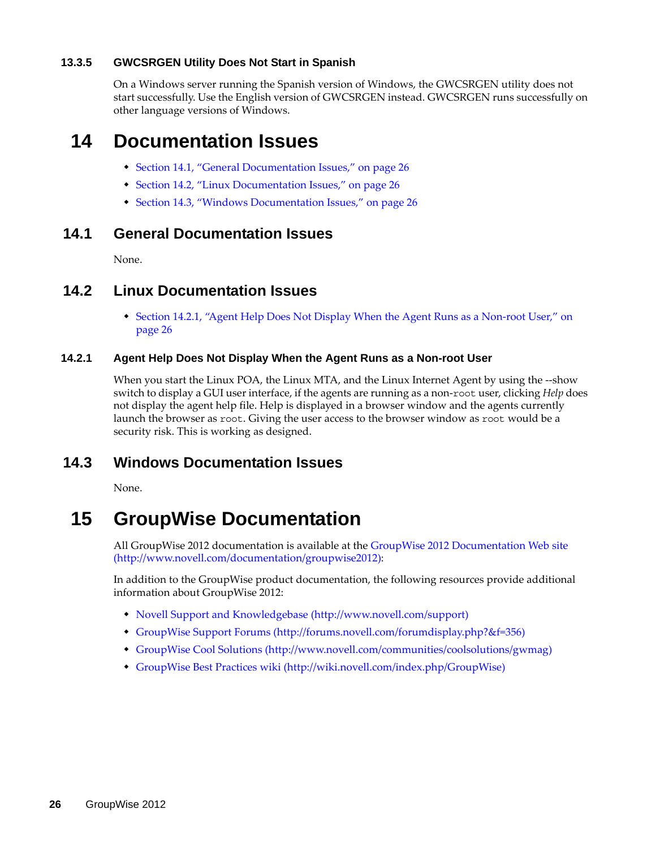## <span id="page-25-0"></span>**13.3.5 GWCSRGEN Utility Does Not Start in Spanish**

On a Windows server running the Spanish version of Windows, the GWCSRGEN utility does not start successfully. Use the English version of GWCSRGEN instead. GWCSRGEN runs successfully on other language versions of Windows.

# **14 Documentation Issues**

- [Section 14.1, "General Documentation Issues," on page 26](#page-25-1)
- [Section 14.2, "Linux Documentation Issues," on page 26](#page-25-2)
- [Section 14.3, "Windows Documentation Issues," on page 26](#page-25-3)

# <span id="page-25-1"></span>**14.1 General Documentation Issues**

None.

# <span id="page-25-2"></span>**14.2 Linux Documentation Issues**

 [Section 14.2.1, "Agent Help Does Not Display When the Agent Runs as a Non-root User," on](#page-25-4)  [page 26](#page-25-4)

## <span id="page-25-4"></span>**14.2.1 Agent Help Does Not Display When the Agent Runs as a Non-root User**

When you start the Linux POA, the Linux MTA, and the Linux Internet Agent by using the --show switch to display a GUI user interface, if the agents are running as a non-root user, clicking *Help* does not display the agent help file. Help is displayed in a browser window and the agents currently launch the browser as root. Giving the user access to the browser window as root would be a security risk. This is working as designed.

# <span id="page-25-3"></span>**14.3 Windows Documentation Issues**

None.

# **15 GroupWise Documentation**

All GroupWise 2012 documentation is available at the [GroupWise 2012 Documentation Web site](http://www.novell.com/documentation/groupwise2012)  (http://www.novell.com/documentation/groupwise2012):

In addition to the GroupWise product documentation, the following resources provide additional information about GroupWise 2012:

- [Novell Support and Knowledgebase](http://www.novell.com/support) (http://www.novell.com/support)
- [GroupWise Support Forums](http://forums.novell.com/forumdisplay.php?&f=356) (http://forums.novell.com/forumdisplay.php?&f=356)
- [GroupWise Cool Solutions](http://www.novell.com/communities/coolsolutions/gwmag) (http://www.novell.com/communities/coolsolutions/gwmag)
- [GroupWise Best Practices wiki](http://wiki.novell.com/index.php/GroupWise) (http://wiki.novell.com/index.php/GroupWise)